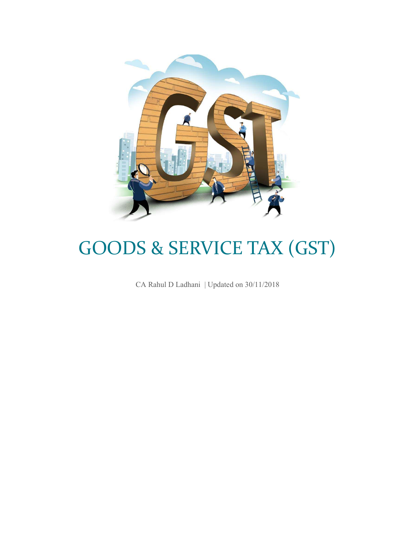

# GOODS & SERVICE TAX (GST)

CA Rahul D Ladhani | Updated on 30/11/2018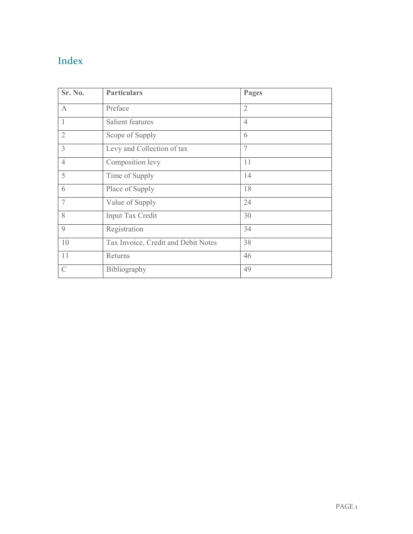# Index

| Sr. No.        | <b>Particulars</b>                  | Pages          |
|----------------|-------------------------------------|----------------|
| $\mathbf{A}$   | Preface                             | $\overline{2}$ |
| 1              | Salient features                    | $\overline{4}$ |
| $\overline{2}$ | Scope of Supply                     | 6              |
| $\overline{3}$ | Levy and Collection of tax          | 7              |
| $\overline{4}$ | Composition levy                    | 11             |
| 5              | Time of Supply                      | 14             |
| 6              | Place of Supply                     | 18             |
| 7              | Value of Supply                     | 24             |
| 8              | Input Tax Credit                    | 30             |
| $\mathbf{Q}$   | Registration                        | 34             |
| 10             | Tax Invoice, Credit and Debit Notes | 38             |
| 11             | Returns                             | 46             |
| $\mathcal{C}$  | Bibliography                        | 49             |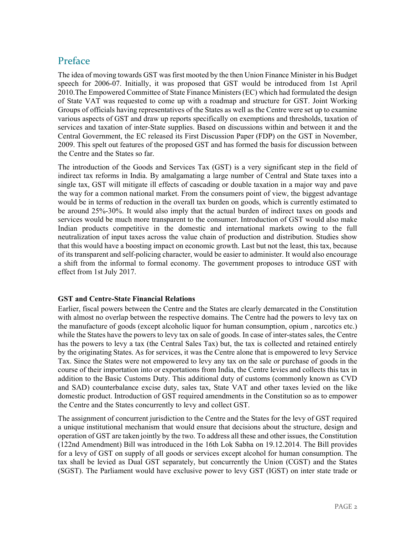### Preface

The idea of moving towards GST was first mooted by the then Union Finance Minister in his Budget speech for 2006-07. Initially, it was proposed that GST would be introduced from 1st April 2010.The Empowered Committee of State Finance Ministers (EC) which had formulated the design of State VAT was requested to come up with a roadmap and structure for GST. Joint Working Groups of officials having representatives of the States as well as the Centre were set up to examine various aspects of GST and draw up reports specifically on exemptions and thresholds, taxation of services and taxation of inter-State supplies. Based on discussions within and between it and the Central Government, the EC released its First Discussion Paper (FDP) on the GST in November, 2009. This spelt out features of the proposed GST and has formed the basis for discussion between the Centre and the States so far.

The introduction of the Goods and Services Tax (GST) is a very significant step in the field of indirect tax reforms in India. By amalgamating a large number of Central and State taxes into a single tax, GST will mitigate ill effects of cascading or double taxation in a major way and pave the way for a common national market. From the consumers point of view, the biggest advantage would be in terms of reduction in the overall tax burden on goods, which is currently estimated to be around 25%-30%. It would also imply that the actual burden of indirect taxes on goods and services would be much more transparent to the consumer. Introduction of GST would also make Indian products competitive in the domestic and international markets owing to the full neutralization of input taxes across the value chain of production and distribution. Studies show that this would have a boosting impact on economic growth. Last but not the least, this tax, because of its transparent and self-policing character, would be easier to administer. It would also encourage a shift from the informal to formal economy. The government proposes to introduce GST with effect from 1st July 2017.

#### GST and Centre-State Financial Relations

Earlier, fiscal powers between the Centre and the States are clearly demarcated in the Constitution with almost no overlap between the respective domains. The Centre had the powers to levy tax on the manufacture of goods (except alcoholic liquor for human consumption, opium , narcotics etc.) while the States have the powers to levy tax on sale of goods. In case of inter-states sales, the Centre has the powers to levy a tax (the Central Sales Tax) but, the tax is collected and retained entirely by the originating States. As for services, it was the Centre alone that is empowered to levy Service Tax. Since the States were not empowered to levy any tax on the sale or purchase of goods in the course of their importation into or exportations from India, the Centre levies and collects this tax in addition to the Basic Customs Duty. This additional duty of customs (commonly known as CVD and SAD) counterbalance excise duty, sales tax, State VAT and other taxes levied on the like domestic product. Introduction of GST required amendments in the Constitution so as to empower the Centre and the States concurrently to levy and collect GST.

The assignment of concurrent jurisdiction to the Centre and the States for the levy of GST required a unique institutional mechanism that would ensure that decisions about the structure, design and operation of GST are taken jointly by the two. To address all these and other issues, the Constitution (122nd Amendment) Bill was introduced in the 16th Lok Sabha on 19.12.2014. The Bill provides for a levy of GST on supply of all goods or services except alcohol for human consumption. The tax shall be levied as Dual GST separately, but concurrently the Union (CGST) and the States (SGST). The Parliament would have exclusive power to levy GST (IGST) on inter state trade or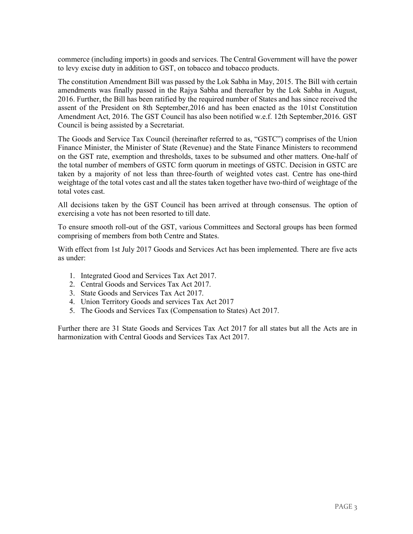commerce (including imports) in goods and services. The Central Government will have the power to levy excise duty in addition to GST, on tobacco and tobacco products.

The constitution Amendment Bill was passed by the Lok Sabha in May, 2015. The Bill with certain amendments was finally passed in the Rajya Sabha and thereafter by the Lok Sabha in August, 2016. Further, the Bill has been ratified by the required number of States and has since received the assent of the President on 8th September,2016 and has been enacted as the 101st Constitution Amendment Act, 2016. The GST Council has also been notified w.e.f. 12th September,2016. GST Council is being assisted by a Secretariat.

The Goods and Service Tax Council (hereinafter referred to as, "GSTC") comprises of the Union Finance Minister, the Minister of State (Revenue) and the State Finance Ministers to recommend on the GST rate, exemption and thresholds, taxes to be subsumed and other matters. One-half of the total number of members of GSTC form quorum in meetings of GSTC. Decision in GSTC are taken by a majority of not less than three-fourth of weighted votes cast. Centre has one-third weightage of the total votes cast and all the states taken together have two-third of weightage of the total votes cast.

All decisions taken by the GST Council has been arrived at through consensus. The option of exercising a vote has not been resorted to till date.

To ensure smooth roll-out of the GST, various Committees and Sectoral groups has been formed comprising of members from both Centre and States.

With effect from 1st July 2017 Goods and Services Act has been implemented. There are five acts as under:

- 1. Integrated Good and Services Tax Act 2017.
- 2. Central Goods and Services Tax Act 2017.
- 3. State Goods and Services Tax Act 2017.
- 4. Union Territory Goods and services Tax Act 2017
- 5. The Goods and Services Tax (Compensation to States) Act 2017.

Further there are 31 State Goods and Services Tax Act 2017 for all states but all the Acts are in harmonization with Central Goods and Services Tax Act 2017.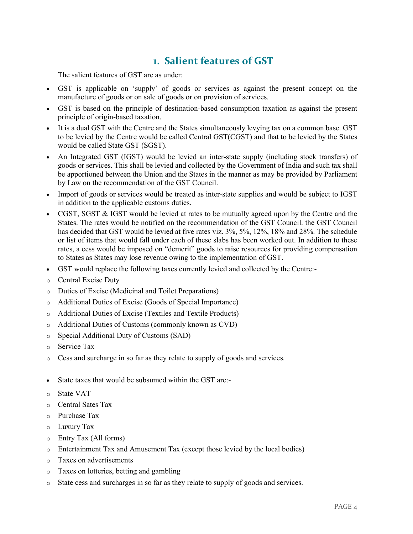### 1. Salient features of GST

The salient features of GST are as under:

- GST is applicable on 'supply' of goods or services as against the present concept on the manufacture of goods or on sale of goods or on provision of services.
- GST is based on the principle of destination-based consumption taxation as against the present principle of origin-based taxation.
- It is a dual GST with the Centre and the States simultaneously levying tax on a common base. GST to be levied by the Centre would be called Central GST(CGST) and that to be levied by the States would be called State GST (SGST).
- An Integrated GST (IGST) would be levied an inter-state supply (including stock transfers) of goods or services. This shall be levied and collected by the Government of India and such tax shall be apportioned between the Union and the States in the manner as may be provided by Parliament by Law on the recommendation of the GST Council.
- Import of goods or services would be treated as inter-state supplies and would be subject to IGST in addition to the applicable customs duties.
- CGST, SGST & IGST would be levied at rates to be mutually agreed upon by the Centre and the States. The rates would be notified on the recommendation of the GST Council. the GST Council has decided that GST would be levied at five rates viz. 3%, 5%, 12%, 18% and 28%. The schedule or list of items that would fall under each of these slabs has been worked out. In addition to these rates, a cess would be imposed on "demerit" goods to raise resources for providing compensation to States as States may lose revenue owing to the implementation of GST.
- GST would replace the following taxes currently levied and collected by the Centre:-
- o Central Excise Duty
- o Duties of Excise (Medicinal and Toilet Preparations)
- o Additional Duties of Excise (Goods of Special Importance)
- o Additional Duties of Excise (Textiles and Textile Products)
- o Additional Duties of Customs (commonly known as CVD)
- o Special Additional Duty of Customs (SAD)
- o Service Tax
- $\circ$  Cess and surcharge in so far as they relate to supply of goods and services.
- State taxes that would be subsumed within the GST are:-
- o State VAT
- o Central Sates Tax
- o Purchase Tax
- o Luxury Tax
- o Entry Tax (All forms)
- o Entertainment Tax and Amusement Tax (except those levied by the local bodies)
- o Taxes on advertisements
- o Taxes on lotteries, betting and gambling
- o State cess and surcharges in so far as they relate to supply of goods and services.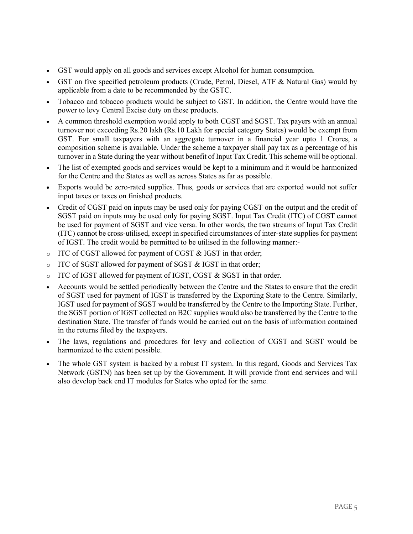- GST would apply on all goods and services except Alcohol for human consumption.
- GST on five specified petroleum products (Crude, Petrol, Diesel, ATF & Natural Gas) would by applicable from a date to be recommended by the GSTC.
- Tobacco and tobacco products would be subject to GST. In addition, the Centre would have the power to levy Central Excise duty on these products.
- A common threshold exemption would apply to both CGST and SGST. Tax payers with an annual turnover not exceeding Rs.20 lakh (Rs.10 Lakh for special category States) would be exempt from GST. For small taxpayers with an aggregate turnover in a financial year upto 1 Crores, a composition scheme is available. Under the scheme a taxpayer shall pay tax as a percentage of his turnover in a State during the year without benefit of Input Tax Credit. This scheme will be optional.
- The list of exempted goods and services would be kept to a minimum and it would be harmonized for the Centre and the States as well as across States as far as possible.
- Exports would be zero-rated supplies. Thus, goods or services that are exported would not suffer input taxes or taxes on finished products.
- Credit of CGST paid on inputs may be used only for paying CGST on the output and the credit of SGST paid on inputs may be used only for paying SGST. Input Tax Credit (ITC) of CGST cannot be used for payment of SGST and vice versa. In other words, the two streams of Input Tax Credit (ITC) cannot be cross-utilised, except in specified circumstances of inter-state supplies for payment of IGST. The credit would be permitted to be utilised in the following manner:-
- $\circ$  ITC of CGST allowed for payment of CGST & IGST in that order;
- $\circ$  ITC of SGST allowed for payment of SGST & IGST in that order;
- $\circ$  ITC of IGST allowed for payment of IGST, CGST & SGST in that order.
- Accounts would be settled periodically between the Centre and the States to ensure that the credit of SGST used for payment of IGST is transferred by the Exporting State to the Centre. Similarly, IGST used for payment of SGST would be transferred by the Centre to the Importing State. Further, the SGST portion of IGST collected on B2C supplies would also be transferred by the Centre to the destination State. The transfer of funds would be carried out on the basis of information contained in the returns filed by the taxpayers.
- The laws, regulations and procedures for levy and collection of CGST and SGST would be harmonized to the extent possible.
- The whole GST system is backed by a robust IT system. In this regard, Goods and Services Tax Network (GSTN) has been set up by the Government. It will provide front end services and will also develop back end IT modules for States who opted for the same.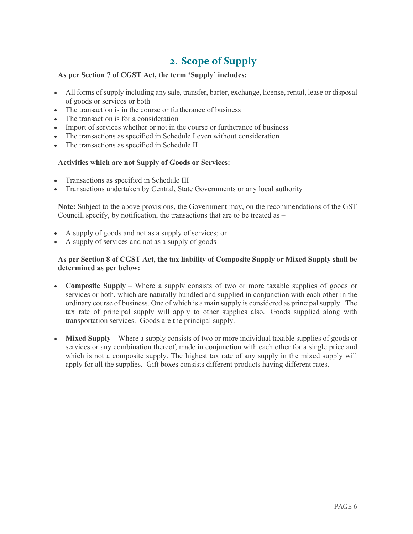## 2. Scope of Supply

#### As per Section 7 of CGST Act, the term 'Supply' includes:

- All forms of supply including any sale, transfer, barter, exchange, license, rental, lease or disposal of goods or services or both
- The transaction is in the course or furtherance of business
- The transaction is for a consideration
- Import of services whether or not in the course or furtherance of business
- The transactions as specified in Schedule I even without consideration
- The transactions as specified in Schedule II

#### Activities which are not Supply of Goods or Services:

- Transactions as specified in Schedule III
- Transactions undertaken by Central, State Governments or any local authority

Note: Subject to the above provisions, the Government may, on the recommendations of the GST Council, specify, by notification, the transactions that are to be treated as –

- A supply of goods and not as a supply of services; or
- A supply of services and not as a supply of goods

#### As per Section 8 of CGST Act, the tax liability of Composite Supply or Mixed Supply shall be determined as per below:

- Composite Supply Where a supply consists of two or more taxable supplies of goods or services or both, which are naturally bundled and supplied in conjunction with each other in the ordinary course of business. One of which is a main supply is considered as principal supply. The tax rate of principal supply will apply to other supplies also. Goods supplied along with transportation services. Goods are the principal supply.
- Mixed Supply Where a supply consists of two or more individual taxable supplies of goods or services or any combination thereof, made in conjunction with each other for a single price and which is not a composite supply. The highest tax rate of any supply in the mixed supply will apply for all the supplies. Gift boxes consists different products having different rates.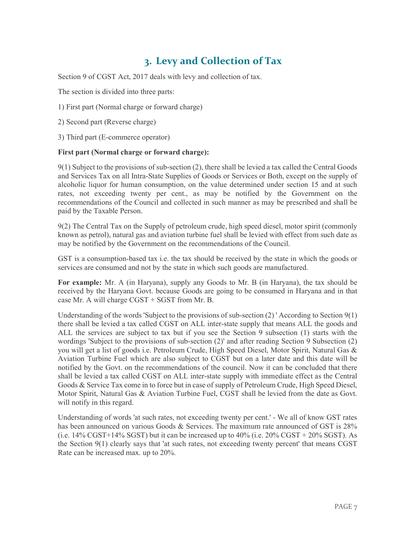# 3. Levy and Collection of Tax

Section 9 of CGST Act, 2017 deals with levy and collection of tax.

The section is divided into three parts:

1) First part (Normal charge or forward charge)

2) Second part (Reverse charge)

3) Third part (E-commerce operator)

#### First part (Normal charge or forward charge):

9(1) Subject to the provisions of sub-section (2), there shall be levied a tax called the Central Goods and Services Tax on all Intra-State Supplies of Goods or Services or Both, except on the supply of alcoholic liquor for human consumption, on the value determined under section 15 and at such rates, not exceeding twenty per cent., as may be notified by the Government on the recommendations of the Council and collected in such manner as may be prescribed and shall be paid by the Taxable Person.

9(2) The Central Tax on the Supply of petroleum crude, high speed diesel, motor spirit (commonly known as petrol), natural gas and aviation turbine fuel shall be levied with effect from such date as may be notified by the Government on the recommendations of the Council.

GST is a consumption-based tax i.e. the tax should be received by the state in which the goods or services are consumed and not by the state in which such goods are manufactured.

For example: Mr. A (in Haryana), supply any Goods to Mr. B (in Haryana), the tax should be received by the Haryana Govt. because Goods are going to be consumed in Haryana and in that case Mr. A will charge CGST + SGST from Mr. B.

Understanding of the words 'Subject to the provisions of sub-section (2) ' According to Section 9(1) there shall be levied a tax called CGST on ALL inter-state supply that means ALL the goods and ALL the services are subject to tax but if you see the Section 9 subsection (1) starts with the wordings 'Subject to the provisions of sub-section (2)' and after reading Section 9 Subsection (2) you will get a list of goods i.e. Petroleum Crude, High Speed Diesel, Motor Spirit, Natural Gas & Aviation Turbine Fuel which are also subject to CGST but on a later date and this date will be notified by the Govt. on the recommendations of the council. Now it can be concluded that there shall be levied a tax called CGST on ALL inter-state supply with immediate effect as the Central Goods & Service Tax come in to force but in case of supply of Petroleum Crude, High Speed Diesel, Motor Spirit, Natural Gas & Aviation Turbine Fuel, CGST shall be levied from the date as Govt. will notify in this regard.

Understanding of words 'at such rates, not exceeding twenty per cent.' - We all of know GST rates has been announced on various Goods & Services. The maximum rate announced of GST is 28% (i.e. 14% CGST+14% SGST) but it can be increased up to 40% (i.e. 20% CGST + 20% SGST). As the Section 9(1) clearly says that 'at such rates, not exceeding twenty percent' that means CGST Rate can be increased max. up to 20%.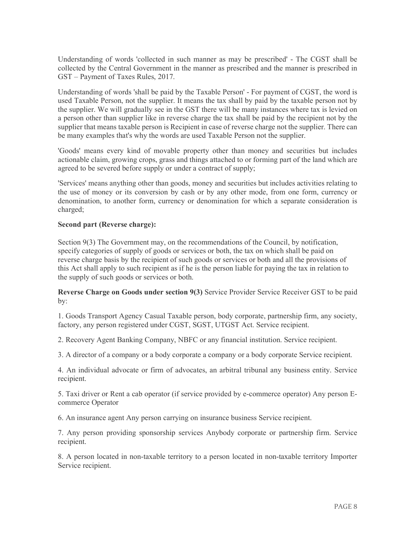Understanding of words 'collected in such manner as may be prescribed' - The CGST shall be collected by the Central Government in the manner as prescribed and the manner is prescribed in GST – Payment of Taxes Rules, 2017.

Understanding of words 'shall be paid by the Taxable Person' - For payment of CGST, the word is used Taxable Person, not the supplier. It means the tax shall by paid by the taxable person not by the supplier. We will gradually see in the GST there will be many instances where tax is levied on a person other than supplier like in reverse charge the tax shall be paid by the recipient not by the supplier that means taxable person is Recipient in case of reverse charge not the supplier. There can be many examples that's why the words are used Taxable Person not the supplier.

'Goods' means every kind of movable property other than money and securities but includes actionable claim, growing crops, grass and things attached to or forming part of the land which are agreed to be severed before supply or under a contract of supply;

'Services' means anything other than goods, money and securities but includes activities relating to the use of money or its conversion by cash or by any other mode, from one form, currency or denomination, to another form, currency or denomination for which a separate consideration is charged;

#### Second part (Reverse charge):

Section 9(3) The Government may, on the recommendations of the Council, by notification, specify categories of supply of goods or services or both, the tax on which shall be paid on reverse charge basis by the recipient of such goods or services or both and all the provisions of this Act shall apply to such recipient as if he is the person liable for paying the tax in relation to the supply of such goods or services or both.

Reverse Charge on Goods under section 9(3) Service Provider Service Receiver GST to be paid by:

1. Goods Transport Agency Casual Taxable person, body corporate, partnership firm, any society, factory, any person registered under CGST, SGST, UTGST Act. Service recipient.

2. Recovery Agent Banking Company, NBFC or any financial institution. Service recipient.

3. A director of a company or a body corporate a company or a body corporate Service recipient.

4. An individual advocate or firm of advocates, an arbitral tribunal any business entity. Service recipient.

5. Taxi driver or Rent a cab operator (if service provided by e-commerce operator) Any person Ecommerce Operator

6. An insurance agent Any person carrying on insurance business Service recipient.

7. Any person providing sponsorship services Anybody corporate or partnership firm. Service recipient.

8. A person located in non-taxable territory to a person located in non-taxable territory Importer Service recipient.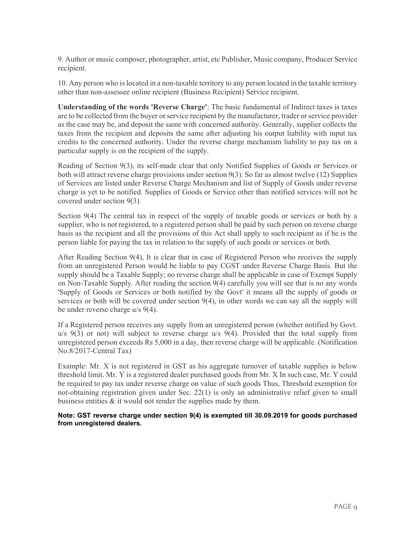9. Author or music composer, photographer, artist, etc Publisher, Music company, Producer Service recipient.

10. Any person who is located in a non-taxable territory to any person located in the taxable territory other than non-assessee online recipient (Business Recipient) Service recipient.

Understanding of the words 'Reverse Charge': The basic fundamental of Indirect taxes is taxes are to be collected from the buyer or service recipient by the manufacturer, trader or service provider as the case may be, and deposit the same with concerned authority. Generally, supplier collects the taxes from the recipient and deposits the same after adjusting his output liability with input tax credits to the concerned authority. Under the reverse charge mechanism liability to pay tax on a particular supply is on the recipient of the supply.

Reading of Section 9(3), its self-made clear that only Notified Supplies of Goods or Services or both will attract reverse charge provisions under section 9(3). So far as almost twelve (12) Supplies of Services are listed under Reverse Charge Mechanism and list of Supply of Goods under reverse charge is yet to be notified. Supplies of Goods or Service other than notified services will not be covered under section 9(3).

Section 9(4) The central tax in respect of the supply of taxable goods or services or both by a supplier, who is not registered, to a registered person shall be paid by such person on reverse charge basis as the recipient and all the provisions of this Act shall apply to such recipient as if he is the person liable for paying the tax in relation to the supply of such goods or services or both.

After Reading Section 9(4), It is clear that in case of Registered Person who receives the supply from an unregistered Person would be liable to pay CGST under Reverse Charge Basis. But the supply should be a Taxable Supply; no reverse charge shall be applicable in case of Exempt Supply on Non-Taxable Supply. After reading the section 9(4) carefully you will see that is no any words 'Supply of Goods or Services or both notified by the Govt' it means all the supply of goods or services or both will be covered under section 9(4), in other words we can say all the supply will be under reverse charge u/s 9(4).

If a Registered person receives any supply from an unregistered person (whether notified by Govt. u/s 9(3) or not) will subject to reverse charge u/s 9(4). Provided that the total supply from unregistered person exceeds Rs 5,000 in a day, then reverse charge will be applicable. (Notification No.8/2017-Central Tax)

Example: Mr. X is not registered in GST as his aggregate turnover of taxable supplies is below threshold limit. Mr. Y is a registered dealer purchased goods from Mr. X In such case, Mr. Y could be required to pay tax under reverse charge on value of such goods Thus, Threshold exemption for not-obtaining registration given under Sec. 22(1) is only an administrative relief given to small business entities  $\&$  it would not render the supplies made by them.

Note: GST reverse charge under section 9(4) is exempted till 30.09.2019 for goods purchased from unregistered dealers.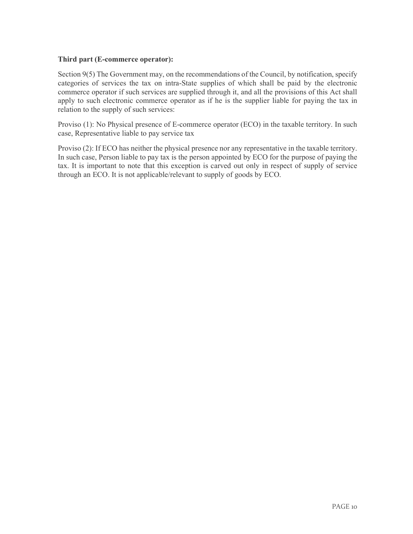#### Third part (E-commerce operator):

Section 9(5) The Government may, on the recommendations of the Council, by notification, specify categories of services the tax on intra-State supplies of which shall be paid by the electronic commerce operator if such services are supplied through it, and all the provisions of this Act shall apply to such electronic commerce operator as if he is the supplier liable for paying the tax in relation to the supply of such services:

Proviso (1): No Physical presence of E-commerce operator (ECO) in the taxable territory. In such case, Representative liable to pay service tax

Proviso (2): If ECO has neither the physical presence nor any representative in the taxable territory. In such case, Person liable to pay tax is the person appointed by ECO for the purpose of paying the tax. It is important to note that this exception is carved out only in respect of supply of service through an ECO. It is not applicable/relevant to supply of goods by ECO.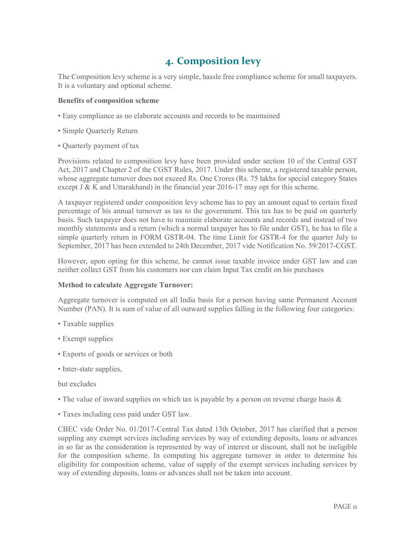# 4. Composition levy

The Composition levy scheme is a very simple, hassle free compliance scheme for small taxpayers. It is a voluntary and optional scheme.

#### Benefits of composition scheme

- Easy compliance as no elaborate accounts and records to be maintained
- Simple Quarterly Return
- Quarterly payment of tax

Provisions related to composition levy have been provided under section 10 of the Central GST Act, 2017 and Chapter 2 of the CGST Rules, 2017. Under this scheme, a registered taxable person, whose aggregate turnover does not exceed Rs. One Crores (Rs. 75 lakhs for special category States except J & K and Uttarakhand) in the financial year 2016-17 may opt for this scheme.

A taxpayer registered under composition levy scheme has to pay an amount equal to certain fixed percentage of his annual turnover as tax to the government. This tax has to be paid on quarterly basis. Such taxpayer does not have to maintain elaborate accounts and records and instead of two monthly statements and a return (which a normal taxpayer has to file under GST), he has to file a simple quarterly return in FORM GSTR-04. The time Limit for GSTR-4 for the quarter July to September, 2017 has been extended to 24th December, 2017 vide Notification No. 59/2017-CGST.

However, upon opting for this scheme, he cannot issue taxable invoice under GST law and can neither collect GST from his customers nor can claim Input Tax credit on his purchases

#### Method to calculate Aggregate Turnover:

Aggregate turnover is computed on all India basis for a person having same Permanent Account Number (PAN). It is sum of value of all outward supplies falling in the following four categories:

- Taxable supplies
- Exempt supplies
- Exports of goods or services or both
- Inter-state supplies,

#### but excludes

- The value of inward supplies on which tax is payable by a person on reverse charge basis &
- Taxes including cess paid under GST law.

CBEC vide Order No. 01/2017-Central Tax dated 13th October, 2017 has clarified that a person suppling any exempt services including services by way of extending deposits, loans or advances in so far as the consideration is represented by way of interest or discount, shall not be ineligible for the composition scheme. In computing his aggregate turnover in order to determine his eligibility for composition scheme, value of supply of the exempt services including services by way of extending deposits, loans or advances shall not be taken into account.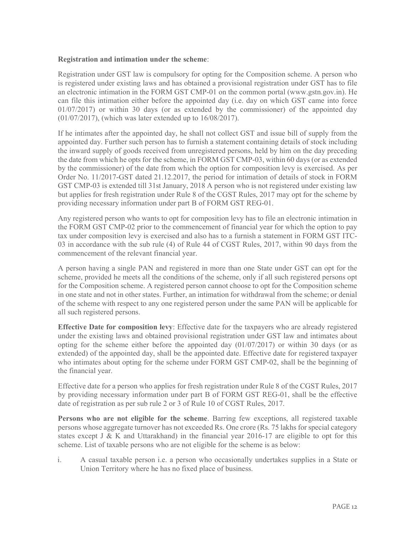#### Registration and intimation under the scheme:

Registration under GST law is compulsory for opting for the Composition scheme. A person who is registered under existing laws and has obtained a provisional registration under GST has to file an electronic intimation in the FORM GST CMP-01 on the common portal (www.gstn.gov.in). He can file this intimation either before the appointed day (i.e. day on which GST came into force 01/07/2017) or within 30 days (or as extended by the commissioner) of the appointed day (01/07/2017), (which was later extended up to 16/08/2017).

If he intimates after the appointed day, he shall not collect GST and issue bill of supply from the appointed day. Further such person has to furnish a statement containing details of stock including the inward supply of goods received from unregistered persons, held by him on the day preceding the date from which he opts for the scheme, in FORM GST CMP-03, within 60 days (or as extended by the commissioner) of the date from which the option for composition levy is exercised. As per Order No. 11/2017-GST dated 21.12.2017, the period for intimation of details of stock in FORM GST CMP-03 is extended till 31st January, 2018 A person who is not registered under existing law but applies for fresh registration under Rule 8 of the CGST Rules, 2017 may opt for the scheme by providing necessary information under part B of FORM GST REG-01.

Any registered person who wants to opt for composition levy has to file an electronic intimation in the FORM GST CMP-02 prior to the commencement of financial year for which the option to pay tax under composition levy is exercised and also has to a furnish a statement in FORM GST ITC-03 in accordance with the sub rule (4) of Rule 44 of CGST Rules, 2017, within 90 days from the commencement of the relevant financial year.

A person having a single PAN and registered in more than one State under GST can opt for the scheme, provided he meets all the conditions of the scheme, only if all such registered persons opt for the Composition scheme. A registered person cannot choose to opt for the Composition scheme in one state and not in other states. Further, an intimation for withdrawal from the scheme; or denial of the scheme with respect to any one registered person under the same PAN will be applicable for all such registered persons.

Effective Date for composition levy: Effective date for the taxpayers who are already registered under the existing laws and obtained provisional registration under GST law and intimates about opting for the scheme either before the appointed day (01/07/2017) or within 30 days (or as extended) of the appointed day, shall be the appointed date. Effective date for registered taxpayer who intimates about opting for the scheme under FORM GST CMP-02, shall be the beginning of the financial year.

Effective date for a person who applies for fresh registration under Rule 8 of the CGST Rules, 2017 by providing necessary information under part B of FORM GST REG-01, shall be the effective date of registration as per sub rule 2 or 3 of Rule 10 of CGST Rules, 2017.

Persons who are not eligible for the scheme. Barring few exceptions, all registered taxable persons whose aggregate turnover has not exceeded Rs. One crore (Rs. 75 lakhs for special category states except J & K and Uttarakhand) in the financial year  $2016-17$  are eligible to opt for this scheme. List of taxable persons who are not eligible for the scheme is as below:

i. A casual taxable person i.e. a person who occasionally undertakes supplies in a State or Union Territory where he has no fixed place of business.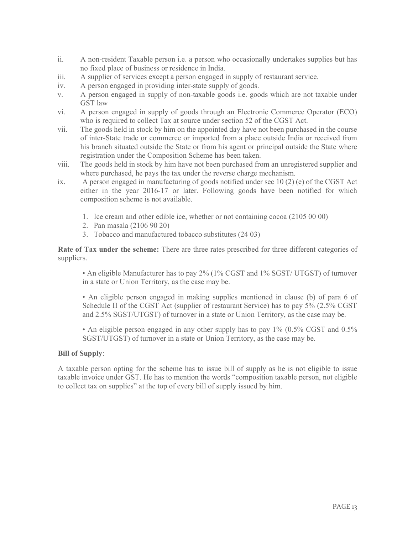- ii. A non-resident Taxable person i.e. a person who occasionally undertakes supplies but has no fixed place of business or residence in India.
- iii. A supplier of services except a person engaged in supply of restaurant service.
- iv. A person engaged in providing inter-state supply of goods.
- v. A person engaged in supply of non-taxable goods i.e. goods which are not taxable under GST law
- vi. A person engaged in supply of goods through an Electronic Commerce Operator (ECO) who is required to collect Tax at source under section 52 of the CGST Act.
- vii. The goods held in stock by him on the appointed day have not been purchased in the course of inter-State trade or commerce or imported from a place outside India or received from his branch situated outside the State or from his agent or principal outside the State where registration under the Composition Scheme has been taken.
- viii. The goods held in stock by him have not been purchased from an unregistered supplier and where purchased, he pays the tax under the reverse charge mechanism.
- ix. A person engaged in manufacturing of goods notified under sec 10 (2) (e) of the CGST Act either in the year 2016-17 or later. Following goods have been notified for which composition scheme is not available.
	- 1. Ice cream and other edible ice, whether or not containing cocoa (2105 00 00)
	- 2. Pan masala (2106 90 20)
	- 3. Tobacco and manufactured tobacco substitutes (24 03)

Rate of Tax under the scheme: There are three rates prescribed for three different categories of suppliers.

• An eligible Manufacturer has to pay 2% (1% CGST and 1% SGST/ UTGST) of turnover in a state or Union Territory, as the case may be.

• An eligible person engaged in making supplies mentioned in clause (b) of para 6 of Schedule II of the CGST Act (supplier of restaurant Service) has to pay 5% (2.5% CGST and 2.5% SGST/UTGST) of turnover in a state or Union Territory, as the case may be.

• An eligible person engaged in any other supply has to pay 1% (0.5% CGST and 0.5% SGST/UTGST) of turnover in a state or Union Territory, as the case may be.

#### Bill of Supply:

A taxable person opting for the scheme has to issue bill of supply as he is not eligible to issue taxable invoice under GST. He has to mention the words "composition taxable person, not eligible to collect tax on supplies" at the top of every bill of supply issued by him.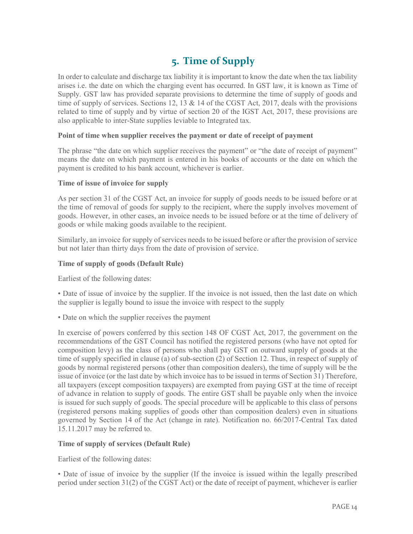# 5. Time of Supply

In order to calculate and discharge tax liability it is important to know the date when the tax liability arises i.e. the date on which the charging event has occurred. In GST law, it is known as Time of Supply. GST law has provided separate provisions to determine the time of supply of goods and time of supply of services. Sections 12, 13 & 14 of the CGST Act, 2017, deals with the provisions related to time of supply and by virtue of section 20 of the IGST Act, 2017, these provisions are also applicable to inter-State supplies leviable to Integrated tax.

#### Point of time when supplier receives the payment or date of receipt of payment

The phrase "the date on which supplier receives the payment" or "the date of receipt of payment" means the date on which payment is entered in his books of accounts or the date on which the payment is credited to his bank account, whichever is earlier.

#### Time of issue of invoice for supply

As per section 31 of the CGST Act, an invoice for supply of goods needs to be issued before or at the time of removal of goods for supply to the recipient, where the supply involves movement of goods. However, in other cases, an invoice needs to be issued before or at the time of delivery of goods or while making goods available to the recipient.

Similarly, an invoice for supply of services needs to be issued before or after the provision of service but not later than thirty days from the date of provision of service.

#### Time of supply of goods (Default Rule)

Earliest of the following dates:

• Date of issue of invoice by the supplier. If the invoice is not issued, then the last date on which the supplier is legally bound to issue the invoice with respect to the supply

• Date on which the supplier receives the payment

In exercise of powers conferred by this section 148 OF CGST Act, 2017, the government on the recommendations of the GST Council has notified the registered persons (who have not opted for composition levy) as the class of persons who shall pay GST on outward supply of goods at the time of supply specified in clause (a) of sub-section (2) of Section 12. Thus, in respect of supply of goods by normal registered persons (other than composition dealers), the time of supply will be the issue of invoice (or the last date by which invoice has to be issued in terms of Section 31) Therefore, all taxpayers (except composition taxpayers) are exempted from paying GST at the time of receipt of advance in relation to supply of goods. The entire GST shall be payable only when the invoice is issued for such supply of goods. The special procedure will be applicable to this class of persons (registered persons making supplies of goods other than composition dealers) even in situations governed by Section 14 of the Act (change in rate). Notification no. 66/2017-Central Tax dated 15.11.2017 may be referred to.

#### Time of supply of services (Default Rule)

Earliest of the following dates:

• Date of issue of invoice by the supplier (If the invoice is issued within the legally prescribed period under section 31(2) of the CGST Act) or the date of receipt of payment, whichever is earlier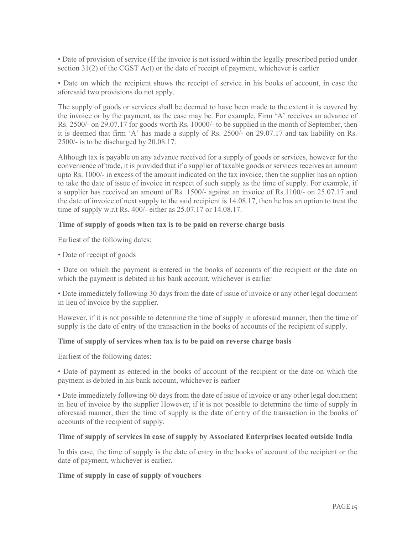• Date of provision of service (If the invoice is not issued within the legally prescribed period under section 31(2) of the CGST Act) or the date of receipt of payment, whichever is earlier

• Date on which the recipient shows the receipt of service in his books of account, in case the aforesaid two provisions do not apply.

The supply of goods or services shall be deemed to have been made to the extent it is covered by the invoice or by the payment, as the case may be. For example, Firm 'A' receives an advance of Rs. 2500/- on 29.07.17 for goods worth Rs. 10000/- to be supplied in the month of September, then it is deemed that firm 'A' has made a supply of Rs. 2500/- on 29.07.17 and tax liability on Rs. 2500/- is to be discharged by 20.08.17.

Although tax is payable on any advance received for a supply of goods or services, however for the convenience of trade, it is provided that if a supplier of taxable goods or services receives an amount upto Rs. 1000/- in excess of the amount indicated on the tax invoice, then the supplier has an option to take the date of issue of invoice in respect of such supply as the time of supply. For example, if a supplier has received an amount of Rs. 1500/- against an invoice of Rs.1100/- on 25.07.17 and the date of invoice of next supply to the said recipient is 14.08.17, then he has an option to treat the time of supply w.r.t Rs. 400/- either as 25.07.17 or 14.08.17.

#### Time of supply of goods when tax is to be paid on reverse charge basis

Earliest of the following dates:

• Date of receipt of goods

• Date on which the payment is entered in the books of accounts of the recipient or the date on which the payment is debited in his bank account, whichever is earlier

• Date immediately following 30 days from the date of issue of invoice or any other legal document in lieu of invoice by the supplier.

However, if it is not possible to determine the time of supply in aforesaid manner, then the time of supply is the date of entry of the transaction in the books of accounts of the recipient of supply.

#### Time of supply of services when tax is to be paid on reverse charge basis

Earliest of the following dates:

• Date of payment as entered in the books of account of the recipient or the date on which the payment is debited in his bank account, whichever is earlier

• Date immediately following 60 days from the date of issue of invoice or any other legal document in lieu of invoice by the supplier However, if it is not possible to determine the time of supply in aforesaid manner, then the time of supply is the date of entry of the transaction in the books of accounts of the recipient of supply.

#### Time of supply of services in case of supply by Associated Enterprises located outside India

In this case, the time of supply is the date of entry in the books of account of the recipient or the date of payment, whichever is earlier.

#### Time of supply in case of supply of vouchers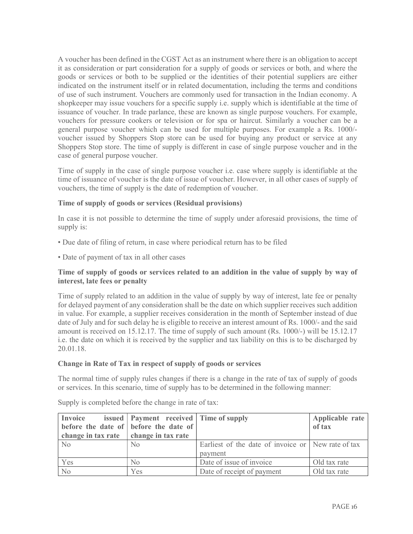A voucher has been defined in the CGST Act as an instrument where there is an obligation to accept it as consideration or part consideration for a supply of goods or services or both, and where the goods or services or both to be supplied or the identities of their potential suppliers are either indicated on the instrument itself or in related documentation, including the terms and conditions of use of such instrument. Vouchers are commonly used for transaction in the Indian economy. A shopkeeper may issue vouchers for a specific supply i.e. supply which is identifiable at the time of issuance of voucher. In trade parlance, these are known as single purpose vouchers. For example, vouchers for pressure cookers or television or for spa or haircut. Similarly a voucher can be a general purpose voucher which can be used for multiple purposes. For example a Rs. 1000/ voucher issued by Shoppers Stop store can be used for buying any product or service at any Shoppers Stop store. The time of supply is different in case of single purpose voucher and in the case of general purpose voucher.

Time of supply in the case of single purpose voucher i.e. case where supply is identifiable at the time of issuance of voucher is the date of issue of voucher. However, in all other cases of supply of vouchers, the time of supply is the date of redemption of voucher.

#### Time of supply of goods or services (Residual provisions)

In case it is not possible to determine the time of supply under aforesaid provisions, the time of supply is:

- Due date of filing of return, in case where periodical return has to be filed
- Date of payment of tax in all other cases

#### Time of supply of goods or services related to an addition in the value of supply by way of interest, late fees or penalty

Time of supply related to an addition in the value of supply by way of interest, late fee or penalty for delayed payment of any consideration shall be the date on which supplier receives such addition in value. For example, a supplier receives consideration in the month of September instead of due date of July and for such delay he is eligible to receive an interest amount of Rs. 1000/- and the said amount is received on 15.12.17. The time of supply of such amount (Rs. 1000/-) will be 15.12.17 i.e. the date on which it is received by the supplier and tax liability on this is to be discharged by 20.01.18.

#### Change in Rate of Tax in respect of supply of goods or services

The normal time of supply rules changes if there is a change in the rate of tax of supply of goods or services. In this scenario, time of supply has to be determined in the following manner:

| Invoice                                       | issued   Payment received   Time of supply |                                                    | Applicable rate |
|-----------------------------------------------|--------------------------------------------|----------------------------------------------------|-----------------|
|                                               | before the date of before the date of      |                                                    | of tax          |
| change in tax rate $\vert$ change in tax rate |                                            |                                                    |                 |
| No                                            | N <sub>0</sub>                             | Earliest of the date of invoice or New rate of tax |                 |
|                                               |                                            | payment                                            |                 |
| Yes                                           | $\rm No$                                   | Date of issue of invoice                           | Old tax rate    |
| N <sub>o</sub>                                | Yes                                        | Date of receipt of payment                         | Old tax rate    |

Supply is completed before the change in rate of tax: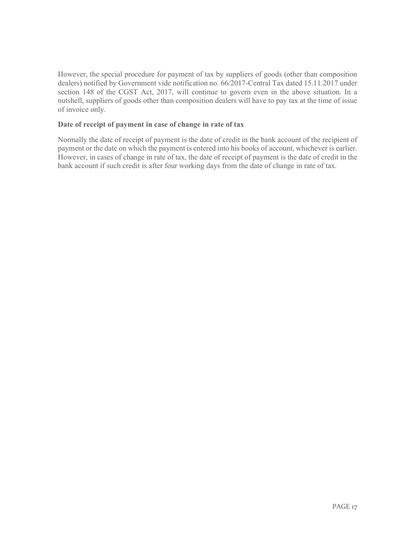However, the special procedure for payment of tax by suppliers of goods (other than composition dealers) notified by Government vide notification no. 66/2017-Central Tax dated 15.11.2017 under section 148 of the CGST Act, 2017, will continue to govern even in the above situation. In a nutshell, suppliers of goods other than composition dealers will have to pay tax at the time of issue of invoice only.

#### Date of receipt of payment in case of change in rate of tax

Normally the date of receipt of payment is the date of credit in the bank account of the recipient of payment or the date on which the payment is entered into his books of account, whichever is earlier. However, in cases of change in rate of tax, the date of receipt of payment is the date of credit in the bank account if such credit is after four working days from the date of change in rate of tax.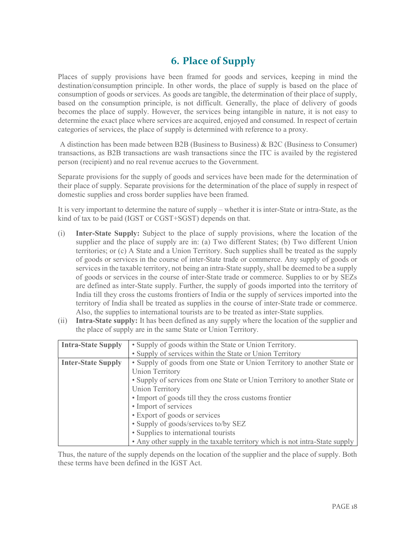## 6. Place of Supply

Places of supply provisions have been framed for goods and services, keeping in mind the destination/consumption principle. In other words, the place of supply is based on the place of consumption of goods or services. As goods are tangible, the determination of their place of supply, based on the consumption principle, is not difficult. Generally, the place of delivery of goods becomes the place of supply. However, the services being intangible in nature, it is not easy to determine the exact place where services are acquired, enjoyed and consumed. In respect of certain categories of services, the place of supply is determined with reference to a proxy.

 A distinction has been made between B2B (Business to Business) & B2C (Business to Consumer) transactions, as B2B transactions are wash transactions since the ITC is availed by the registered person (recipient) and no real revenue accrues to the Government.

Separate provisions for the supply of goods and services have been made for the determination of their place of supply. Separate provisions for the determination of the place of supply in respect of domestic supplies and cross border supplies have been framed.

It is very important to determine the nature of supply – whether it is inter-State or intra-State, as the kind of tax to be paid (IGST or CGST+SGST) depends on that.

- (i) Inter-State Supply: Subject to the place of supply provisions, where the location of the supplier and the place of supply are in: (a) Two different States; (b) Two different Union territories; or (c) A State and a Union Territory. Such supplies shall be treated as the supply of goods or services in the course of inter-State trade or commerce. Any supply of goods or services in the taxable territory, not being an intra-State supply, shall be deemed to be a supply of goods or services in the course of inter-State trade or commerce. Supplies to or by SEZs are defined as inter-State supply. Further, the supply of goods imported into the territory of India till they cross the customs frontiers of India or the supply of services imported into the territory of India shall be treated as supplies in the course of inter-State trade or commerce. Also, the supplies to international tourists are to be treated as inter-State supplies.
- (ii) Intra-State supply: It has been defined as any supply where the location of the supplier and the place of supply are in the same State or Union Territory.

| <b>Intra-State Supply</b> | • Supply of goods within the State or Union Territory.                      |  |
|---------------------------|-----------------------------------------------------------------------------|--|
|                           | • Supply of services within the State or Union Territory                    |  |
| <b>Inter-State Supply</b> | • Supply of goods from one State or Union Territory to another State or     |  |
|                           | <b>Union Territory</b>                                                      |  |
|                           | • Supply of services from one State or Union Territory to another State or  |  |
|                           | <b>Union Territory</b>                                                      |  |
|                           | • Import of goods till they the cross customs frontier                      |  |
|                           | • Import of services                                                        |  |
|                           | • Export of goods or services                                               |  |
|                           | • Supply of goods/services to/by SEZ                                        |  |
|                           | • Supplies to international tourists                                        |  |
|                           | • Any other supply in the taxable territory which is not intra-State supply |  |

Thus, the nature of the supply depends on the location of the supplier and the place of supply. Both these terms have been defined in the IGST Act.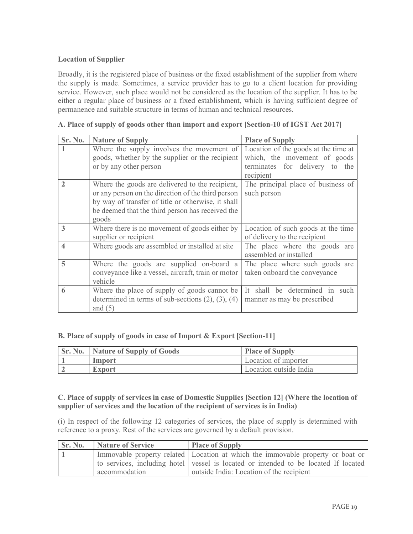#### Location of Supplier

Broadly, it is the registered place of business or the fixed establishment of the supplier from where the supply is made. Sometimes, a service provider has to go to a client location for providing service. However, such place would not be considered as the location of the supplier. It has to be either a regular place of business or a fixed establishment, which is having sufficient degree of permanence and suitable structure in terms of human and technical resources.

| Sr. No.        | <b>Nature of Supply</b>                                                                                                                                                                                                  | <b>Place of Supply</b>                                                                                              |
|----------------|--------------------------------------------------------------------------------------------------------------------------------------------------------------------------------------------------------------------------|---------------------------------------------------------------------------------------------------------------------|
|                | Where the supply involves the movement of<br>goods, whether by the supplier or the recipient<br>or by any other person                                                                                                   | Location of the goods at the time at<br>which, the movement of goods<br>terminates for delivery to the<br>recipient |
| $\overline{2}$ | Where the goods are delivered to the recipient,<br>or any person on the direction of the third person<br>by way of transfer of title or otherwise, it shall<br>be deemed that the third person has received the<br>goods | The principal place of business of<br>such person                                                                   |
| 3              | Where there is no movement of goods either by<br>supplier or recipient                                                                                                                                                   | Location of such goods at the time<br>of delivery to the recipient                                                  |
| 4              | Where goods are assembled or installed at site                                                                                                                                                                           | The place where the goods are<br>assembled or installed                                                             |
| $\overline{5}$ | Where the goods are supplied on-board a<br>conveyance like a vessel, aircraft, train or motor<br>vehicle                                                                                                                 | The place where such goods are<br>taken onboard the conveyance                                                      |
| 6              | Where the place of supply of goods cannot be<br>determined in terms of sub-sections $(2)$ , $(3)$ , $(4)$<br>and $(5)$                                                                                                   | It shall be determined in such<br>manner as may be prescribed                                                       |

| A. Place of supply of goods other than import and export [Section-10 of IGST Act 2017] |  |  |
|----------------------------------------------------------------------------------------|--|--|

#### B. Place of supply of goods in case of Import & Export [Section-11]

| <b>Sr. No.</b> Nature of Supply of Goods | <b>Place of Supply</b> |
|------------------------------------------|------------------------|
| Import                                   | Location of importer   |
| <b>Export</b>                            | Location outside India |

#### C. Place of supply of services in case of Domestic Supplies [Section 12] (Where the location of supplier of services and the location of the recipient of services is in India)

(i) In respect of the following 12 categories of services, the place of supply is determined with reference to a proxy. Rest of the services are governed by a default provision.

| <b>Sr. No.</b> | Nature of Service | <b>Place of Supply</b>                                                              |
|----------------|-------------------|-------------------------------------------------------------------------------------|
|                |                   | Immovable property related Location at which the immovable property or boat or      |
|                |                   | to services, including hotel vessel is located or intended to be located If located |
|                | accommodation     | outside India: Location of the recipient                                            |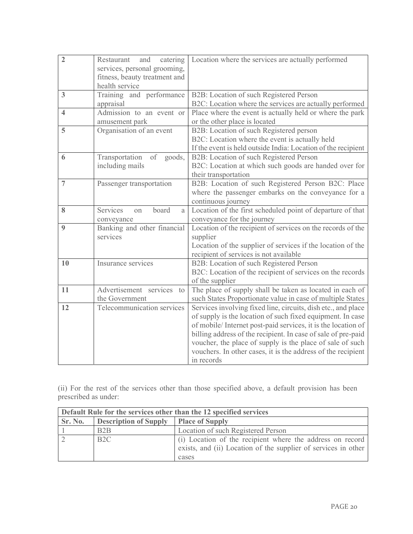| $\overline{2}$          | catering<br>and<br>Restaurant<br>services, personal grooming,<br>fitness, beauty treatment and<br>health service | Location where the services are actually performed                                                                                                                                                                                                                                                                                                                                                       |
|-------------------------|------------------------------------------------------------------------------------------------------------------|----------------------------------------------------------------------------------------------------------------------------------------------------------------------------------------------------------------------------------------------------------------------------------------------------------------------------------------------------------------------------------------------------------|
| 3                       | Training and performance<br>appraisal                                                                            | B2B: Location of such Registered Person<br>B2C: Location where the services are actually performed                                                                                                                                                                                                                                                                                                       |
| $\overline{\mathbf{4}}$ | Admission to an event or<br>amusement park                                                                       | Place where the event is actually held or where the park<br>or the other place is located                                                                                                                                                                                                                                                                                                                |
| 5                       | Organisation of an event                                                                                         | B2B: Location of such Registered person<br>B2C: Location where the event is actually held<br>If the event is held outside India: Location of the recipient                                                                                                                                                                                                                                               |
| 6                       | Transportation<br>of<br>goods,<br>including mails                                                                | B2B: Location of such Registered Person<br>B2C: Location at which such goods are handed over for<br>their transportation                                                                                                                                                                                                                                                                                 |
| $\overline{7}$          | Passenger transportation                                                                                         | B2B: Location of such Registered Person B2C: Place<br>where the passenger embarks on the conveyance for a<br>continuous journey                                                                                                                                                                                                                                                                          |
| 8                       | Services<br>board<br>on<br>a<br>conveyance                                                                       | Location of the first scheduled point of departure of that<br>conveyance for the journey                                                                                                                                                                                                                                                                                                                 |
| 9                       | Banking and other financial<br>services                                                                          | Location of the recipient of services on the records of the<br>supplier<br>Location of the supplier of services if the location of the<br>recipient of services is not available                                                                                                                                                                                                                         |
| 10                      | Insurance services                                                                                               | B2B: Location of such Registered Person<br>B2C: Location of the recipient of services on the records<br>of the supplier                                                                                                                                                                                                                                                                                  |
| 11                      | Advertisement services<br>to<br>the Government                                                                   | The place of supply shall be taken as located in each of<br>such States Proportionate value in case of multiple States                                                                                                                                                                                                                                                                                   |
| 12                      | Telecommunication services                                                                                       | Services involving fixed line, circuits, dish etc., and place<br>of supply is the location of such fixed equipment. In case<br>of mobile/ Internet post-paid services, it is the location of<br>billing address of the recipient. In case of sale of pre-paid<br>voucher, the place of supply is the place of sale of such<br>vouchers. In other cases, it is the address of the recipient<br>in records |

(ii) For the rest of the services other than those specified above, a default provision has been prescribed as under:

| Default Rule for the services other than the 12 specified services |                              |                                                                                                                                      |  |
|--------------------------------------------------------------------|------------------------------|--------------------------------------------------------------------------------------------------------------------------------------|--|
| Sr. No.                                                            | <b>Description of Supply</b> | <b>Place of Supply</b>                                                                                                               |  |
|                                                                    | B <sub>2</sub> B             | Location of such Registered Person                                                                                                   |  |
|                                                                    | B2C                          | (i) Location of the recipient where the address on record<br>exists, and (ii) Location of the supplier of services in other<br>cases |  |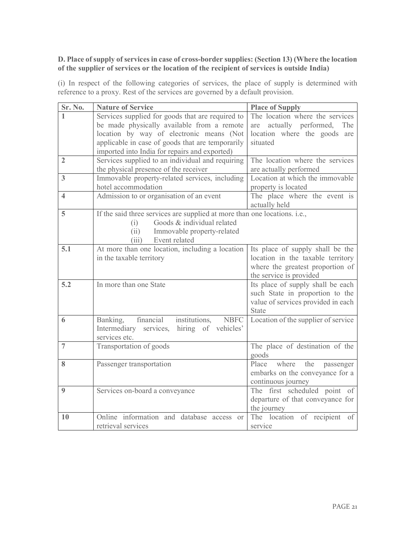#### D. Place of supply of services in case of cross-border supplies: (Section 13) (Where the location of the supplier of services or the location of the recipient of services is outside India)

(i) In respect of the following categories of services, the place of supply is determined with reference to a proxy. Rest of the services are governed by a default provision.

| Sr. No.                 | <b>Nature of Service</b>                                                  | <b>Place of Supply</b>              |
|-------------------------|---------------------------------------------------------------------------|-------------------------------------|
|                         | Services supplied for goods that are required to                          | The location where the services     |
|                         | be made physically available from a remote                                | actually performed, The<br>are      |
|                         | location by way of electronic means (Not                                  | location where the goods are        |
|                         | applicable in case of goods that are temporarily                          | situated                            |
|                         | imported into India for repairs and exported)                             |                                     |
| $\overline{2}$          | Services supplied to an individual and requiring                          | The location where the services     |
|                         | the physical presence of the receiver                                     | are actually performed              |
| 3                       | Immovable property-related services, including                            | Location at which the immovable     |
|                         | hotel accommodation                                                       | property is located                 |
| $\overline{\mathbf{4}}$ | Admission to or organisation of an event                                  | The place where the event is        |
|                         |                                                                           | actually held                       |
| 5                       | If the said three services are supplied at more than one locations. i.e., |                                     |
|                         | Goods & individual related<br>(i)                                         |                                     |
|                         | Immovable property-related<br>(ii)                                        |                                     |
|                         | (iii)<br>Event related                                                    |                                     |
| 5.1                     | At more than one location, including a location                           | Its place of supply shall be the    |
|                         | in the taxable territory                                                  | location in the taxable territory   |
|                         |                                                                           | where the greatest proportion of    |
|                         |                                                                           | the service is provided             |
| 5.2                     | In more than one State                                                    | Its place of supply shall be each   |
|                         |                                                                           | such State in proportion to the     |
|                         |                                                                           | value of services provided in each  |
|                         |                                                                           | State                               |
| 6                       | financial<br>institutions,<br><b>NBFC</b><br>Banking,                     | Location of the supplier of service |
|                         | Intermediary services,<br>hiring of vehicles'                             |                                     |
|                         | services etc.                                                             |                                     |
| $\overline{7}$          | Transportation of goods                                                   | The place of destination of the     |
|                         |                                                                           | goods                               |
| 8                       | Passenger transportation                                                  | Place<br>where<br>the<br>passenger  |
|                         |                                                                           | embarks on the conveyance for a     |
|                         |                                                                           | continuous journey                  |
| 9                       | Services on-board a conveyance                                            | The first scheduled point of        |
|                         |                                                                           | departure of that conveyance for    |
|                         |                                                                           | the journey                         |
| 10                      | Online information and database access or                                 | The location of recipient of        |
|                         | retrieval services                                                        | service                             |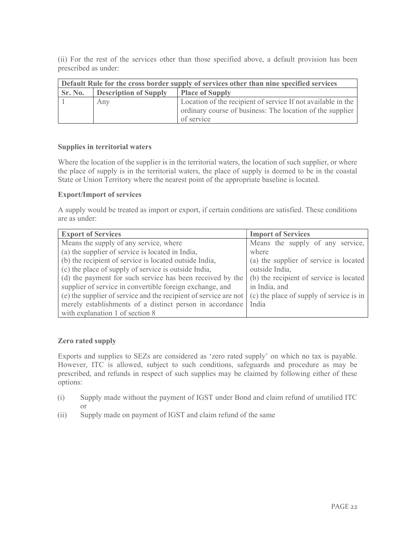(ii) For the rest of the services other than those specified above, a default provision has been prescribed as under:

| Default Rule for the cross border supply of services other than nine specified services |                              |                                                              |  |
|-----------------------------------------------------------------------------------------|------------------------------|--------------------------------------------------------------|--|
| <b>Sr. No.</b>                                                                          | <b>Description of Supply</b> | <b>Place of Supply</b>                                       |  |
|                                                                                         | Any                          | Location of the recipient of service If not available in the |  |
|                                                                                         |                              | ordinary course of business: The location of the supplier    |  |
|                                                                                         |                              | of service                                                   |  |

#### Supplies in territorial waters

Where the location of the supplier is in the territorial waters, the location of such supplier, or where the place of supply is in the territorial waters, the place of supply is deemed to be in the coastal State or Union Territory where the nearest point of the appropriate baseline is located.

#### Export/Import of services

A supply would be treated as import or export, if certain conditions are satisfied. These conditions are as under:

| <b>Export of Services</b>                                        | <b>Import of Services</b>                |
|------------------------------------------------------------------|------------------------------------------|
| Means the supply of any service, where                           | Means the supply of any service,         |
| (a) the supplier of service is located in India,                 | where                                    |
| (b) the recipient of service is located outside India,           | (a) the supplier of service is located   |
| (c) the place of supply of service is outside India,             | outside India,                           |
| (d) the payment for such service has been received by the        | (b) the recipient of service is located  |
| supplier of service in convertible foreign exchange, and         | in India, and                            |
| (e) the supplier of service and the recipient of service are not | (c) the place of supply of service is in |
| merely establishments of a distinct person in accordance         | India                                    |
| with explanation 1 of section 8                                  |                                          |

#### Zero rated supply

Exports and supplies to SEZs are considered as 'zero rated supply' on which no tax is payable. However, ITC is allowed, subject to such conditions, safeguards and procedure as may be prescribed, and refunds in respect of such supplies may be claimed by following either of these options:

- (i) Supply made without the payment of IGST under Bond and claim refund of unutilied ITC or
- (ii) Supply made on payment of IGST and claim refund of the same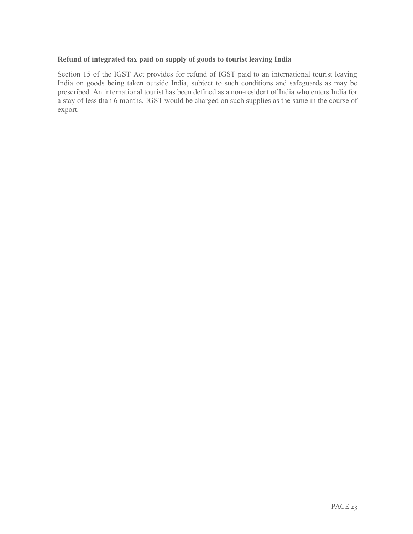#### Refund of integrated tax paid on supply of goods to tourist leaving India

Section 15 of the IGST Act provides for refund of IGST paid to an international tourist leaving India on goods being taken outside India, subject to such conditions and safeguards as may be prescribed. An international tourist has been defined as a non-resident of India who enters India for a stay of less than 6 months. IGST would be charged on such supplies as the same in the course of export.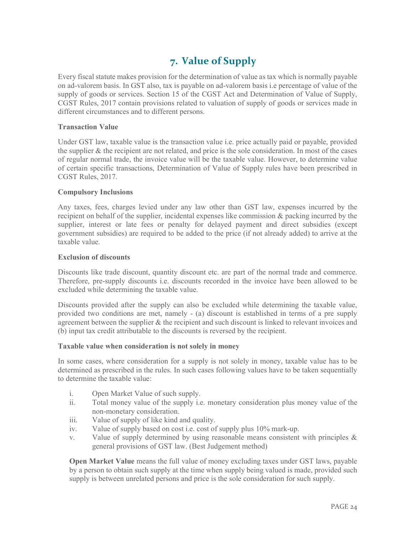# 7. Value of Supply

Every fiscal statute makes provision for the determination of value as tax which is normally payable on ad-valorem basis. In GST also, tax is payable on ad-valorem basis i.e percentage of value of the supply of goods or services. Section 15 of the CGST Act and Determination of Value of Supply, CGST Rules, 2017 contain provisions related to valuation of supply of goods or services made in different circumstances and to different persons.

#### Transaction Value

Under GST law, taxable value is the transaction value i.e. price actually paid or payable, provided the supplier & the recipient are not related, and price is the sole consideration. In most of the cases of regular normal trade, the invoice value will be the taxable value. However, to determine value of certain specific transactions, Determination of Value of Supply rules have been prescribed in CGST Rules, 2017.

#### Compulsory Inclusions

Any taxes, fees, charges levied under any law other than GST law, expenses incurred by the recipient on behalf of the supplier, incidental expenses like commission & packing incurred by the supplier, interest or late fees or penalty for delayed payment and direct subsidies (except government subsidies) are required to be added to the price (if not already added) to arrive at the taxable value.

#### Exclusion of discounts

Discounts like trade discount, quantity discount etc. are part of the normal trade and commerce. Therefore, pre-supply discounts i.e. discounts recorded in the invoice have been allowed to be excluded while determining the taxable value.

Discounts provided after the supply can also be excluded while determining the taxable value, provided two conditions are met, namely - (a) discount is established in terms of a pre supply agreement between the supplier & the recipient and such discount is linked to relevant invoices and (b) input tax credit attributable to the discounts is reversed by the recipient.

#### Taxable value when consideration is not solely in money

In some cases, where consideration for a supply is not solely in money, taxable value has to be determined as prescribed in the rules. In such cases following values have to be taken sequentially to determine the taxable value:

- i. Open Market Value of such supply.
- ii. Total money value of the supply i.e. monetary consideration plus money value of the non-monetary consideration.
- iii. Value of supply of like kind and quality.
- iv. Value of supply based on cost i.e. cost of supply plus 10% mark-up.
- v. Value of supply determined by using reasonable means consistent with principles & general provisions of GST law. (Best Judgement method)

Open Market Value means the full value of money excluding taxes under GST laws, payable by a person to obtain such supply at the time when supply being valued is made, provided such supply is between unrelated persons and price is the sole consideration for such supply.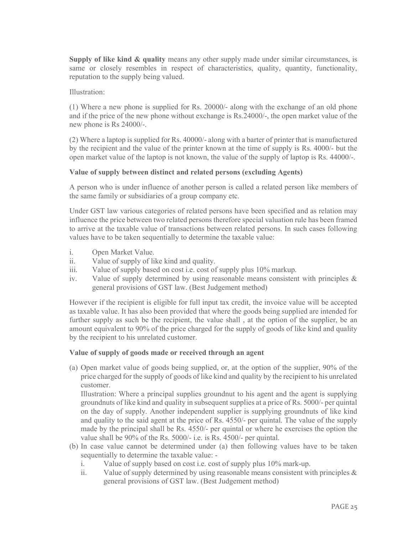Supply of like kind & quality means any other supply made under similar circumstances, is same or closely resembles in respect of characteristics, quality, quantity, functionality, reputation to the supply being valued.

Illustration:

(1) Where a new phone is supplied for Rs. 20000/- along with the exchange of an old phone and if the price of the new phone without exchange is Rs.24000/-, the open market value of the new phone is Rs 24000/-.

(2) Where a laptop is supplied for Rs. 40000/- along with a barter of printer that is manufactured by the recipient and the value of the printer known at the time of supply is Rs. 4000/- but the open market value of the laptop is not known, the value of the supply of laptop is Rs. 44000/-.

#### Value of supply between distinct and related persons (excluding Agents)

A person who is under influence of another person is called a related person like members of the same family or subsidiaries of a group company etc.

Under GST law various categories of related persons have been specified and as relation may influence the price between two related persons therefore special valuation rule has been framed to arrive at the taxable value of transactions between related persons. In such cases following values have to be taken sequentially to determine the taxable value:

- i. Open Market Value.
- ii. Value of supply of like kind and quality.
- iii. Value of supply based on cost i.e. cost of supply plus 10% markup.
- iv. Value of supply determined by using reasonable means consistent with principles  $\&$ general provisions of GST law. (Best Judgement method)

However if the recipient is eligible for full input tax credit, the invoice value will be accepted as taxable value. It has also been provided that where the goods being supplied are intended for further supply as such be the recipient, the value shall , at the option of the supplier, be an amount equivalent to 90% of the price charged for the supply of goods of like kind and quality by the recipient to his unrelated customer.

#### Value of supply of goods made or received through an agent

(a) Open market value of goods being supplied, or, at the option of the supplier, 90% of the price charged for the supply of goods of like kind and quality by the recipient to his unrelated customer.

Illustration: Where a principal supplies groundnut to his agent and the agent is supplying groundnuts of like kind and quality in subsequent supplies at a price of Rs. 5000/- per quintal on the day of supply. Another independent supplier is supplying groundnuts of like kind and quality to the said agent at the price of Rs. 4550/- per quintal. The value of the supply made by the principal shall be Rs. 4550/- per quintal or where he exercises the option the value shall be 90% of the Rs. 5000/- i.e. is Rs. 4500/- per quintal.

- (b) In case value cannot be determined under (a) then following values have to be taken sequentially to determine the taxable value:
	- i. Value of supply based on cost i.e. cost of supply plus 10% mark-up.
	- ii. Value of supply determined by using reasonable means consistent with principles  $\&$ general provisions of GST law. (Best Judgement method)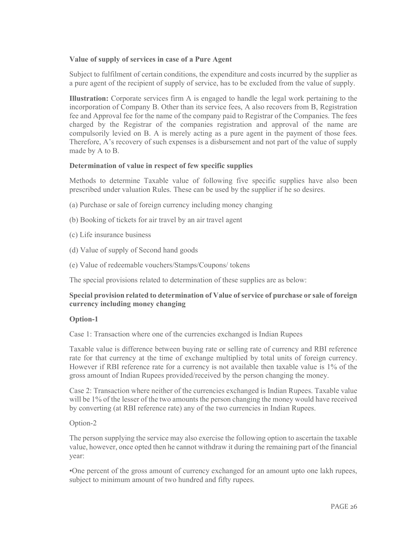#### Value of supply of services in case of a Pure Agent

Subject to fulfilment of certain conditions, the expenditure and costs incurred by the supplier as a pure agent of the recipient of supply of service, has to be excluded from the value of supply.

Illustration: Corporate services firm A is engaged to handle the legal work pertaining to the incorporation of Company B. Other than its service fees, A also recovers from B, Registration fee and Approval fee for the name of the company paid to Registrar of the Companies. The fees charged by the Registrar of the companies registration and approval of the name are compulsorily levied on B. A is merely acting as a pure agent in the payment of those fees. Therefore, A's recovery of such expenses is a disbursement and not part of the value of supply made by A to B.

#### Determination of value in respect of few specific supplies

Methods to determine Taxable value of following five specific supplies have also been prescribed under valuation Rules. These can be used by the supplier if he so desires.

- (a) Purchase or sale of foreign currency including money changing
- (b) Booking of tickets for air travel by an air travel agent
- (c) Life insurance business
- (d) Value of supply of Second hand goods
- (e) Value of redeemable vouchers/Stamps/Coupons/ tokens

The special provisions related to determination of these supplies are as below:

#### Special provision related to determination of Value of service of purchase or sale of foreign currency including money changing

#### Option-1

Case 1: Transaction where one of the currencies exchanged is Indian Rupees

Taxable value is difference between buying rate or selling rate of currency and RBI reference rate for that currency at the time of exchange multiplied by total units of foreign currency. However if RBI reference rate for a currency is not available then taxable value is 1% of the gross amount of Indian Rupees provided/received by the person changing the money.

Case 2: Transaction where neither of the currencies exchanged is Indian Rupees. Taxable value will be 1% of the lesser of the two amounts the person changing the money would have received by converting (at RBI reference rate) any of the two currencies in Indian Rupees.

#### Option-2

The person supplying the service may also exercise the following option to ascertain the taxable value, however, once opted then he cannot withdraw it during the remaining part of the financial year:

•One percent of the gross amount of currency exchanged for an amount upto one lakh rupees, subject to minimum amount of two hundred and fifty rupees.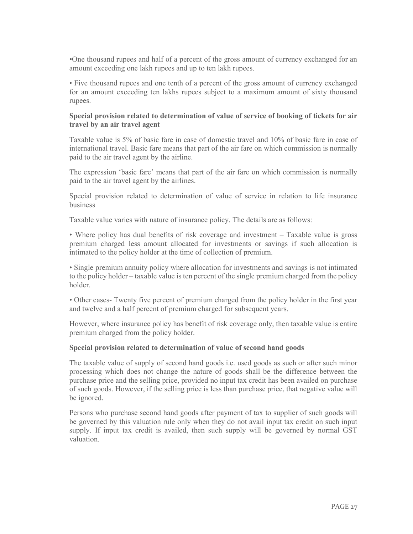•One thousand rupees and half of a percent of the gross amount of currency exchanged for an amount exceeding one lakh rupees and up to ten lakh rupees.

• Five thousand rupees and one tenth of a percent of the gross amount of currency exchanged for an amount exceeding ten lakhs rupees subject to a maximum amount of sixty thousand rupees.

#### Special provision related to determination of value of service of booking of tickets for air travel by an air travel agent

Taxable value is 5% of basic fare in case of domestic travel and 10% of basic fare in case of international travel. Basic fare means that part of the air fare on which commission is normally paid to the air travel agent by the airline.

The expression 'basic fare' means that part of the air fare on which commission is normally paid to the air travel agent by the airlines.

Special provision related to determination of value of service in relation to life insurance business

Taxable value varies with nature of insurance policy. The details are as follows:

• Where policy has dual benefits of risk coverage and investment – Taxable value is gross premium charged less amount allocated for investments or savings if such allocation is intimated to the policy holder at the time of collection of premium.

• Single premium annuity policy where allocation for investments and savings is not intimated to the policy holder – taxable value is ten percent of the single premium charged from the policy holder.

• Other cases- Twenty five percent of premium charged from the policy holder in the first year and twelve and a half percent of premium charged for subsequent years.

However, where insurance policy has benefit of risk coverage only, then taxable value is entire premium charged from the policy holder.

#### Special provision related to determination of value of second hand goods

The taxable value of supply of second hand goods i.e. used goods as such or after such minor processing which does not change the nature of goods shall be the difference between the purchase price and the selling price, provided no input tax credit has been availed on purchase of such goods. However, if the selling price is less than purchase price, that negative value will be ignored.

Persons who purchase second hand goods after payment of tax to supplier of such goods will be governed by this valuation rule only when they do not avail input tax credit on such input supply. If input tax credit is availed, then such supply will be governed by normal GST valuation.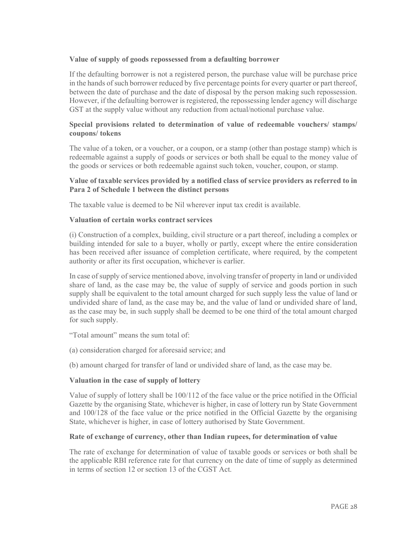#### Value of supply of goods repossessed from a defaulting borrower

If the defaulting borrower is not a registered person, the purchase value will be purchase price in the hands of such borrower reduced by five percentage points for every quarter or part thereof, between the date of purchase and the date of disposal by the person making such repossession. However, if the defaulting borrower is registered, the repossessing lender agency will discharge GST at the supply value without any reduction from actual/notional purchase value.

#### Special provisions related to determination of value of redeemable vouchers/ stamps/ coupons/ tokens

The value of a token, or a voucher, or a coupon, or a stamp (other than postage stamp) which is redeemable against a supply of goods or services or both shall be equal to the money value of the goods or services or both redeemable against such token, voucher, coupon, or stamp.

#### Value of taxable services provided by a notified class of service providers as referred to in Para 2 of Schedule 1 between the distinct persons

The taxable value is deemed to be Nil wherever input tax credit is available.

#### Valuation of certain works contract services

(i) Construction of a complex, building, civil structure or a part thereof, including a complex or building intended for sale to a buyer, wholly or partly, except where the entire consideration has been received after issuance of completion certificate, where required, by the competent authority or after its first occupation, whichever is earlier.

In case of supply of service mentioned above, involving transfer of property in land or undivided share of land, as the case may be, the value of supply of service and goods portion in such supply shall be equivalent to the total amount charged for such supply less the value of land or undivided share of land, as the case may be, and the value of land or undivided share of land, as the case may be, in such supply shall be deemed to be one third of the total amount charged for such supply.

"Total amount" means the sum total of:

(a) consideration charged for aforesaid service; and

(b) amount charged for transfer of land or undivided share of land, as the case may be.

#### Valuation in the case of supply of lottery

Value of supply of lottery shall be 100/112 of the face value or the price notified in the Official Gazette by the organising State, whichever is higher, in case of lottery run by State Government and 100/128 of the face value or the price notified in the Official Gazette by the organising State, whichever is higher, in case of lottery authorised by State Government.

#### Rate of exchange of currency, other than Indian rupees, for determination of value

The rate of exchange for determination of value of taxable goods or services or both shall be the applicable RBI reference rate for that currency on the date of time of supply as determined in terms of section 12 or section 13 of the CGST Act.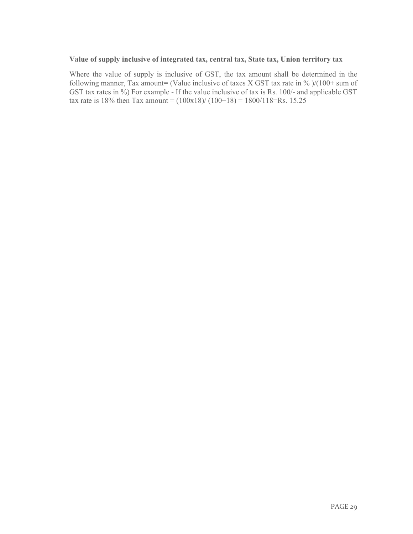#### Value of supply inclusive of integrated tax, central tax, State tax, Union territory tax

Where the value of supply is inclusive of GST, the tax amount shall be determined in the following manner, Tax amount= (Value inclusive of taxes X GST tax rate in % )/(100+ sum of GST tax rates in %) For example - If the value inclusive of tax is Rs. 100/- and applicable GST tax rate is 18% then Tax amount =  $(100x18)/(100+18) = 1800/118 = Rs. 15.25$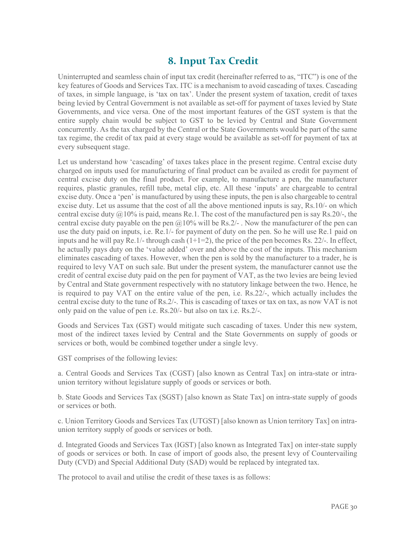### 8. Input Tax Credit

Uninterrupted and seamless chain of input tax credit (hereinafter referred to as, "ITC") is one of the key features of Goods and Services Tax. ITC is a mechanism to avoid cascading of taxes. Cascading of taxes, in simple language, is 'tax on tax'. Under the present system of taxation, credit of taxes being levied by Central Government is not available as set-off for payment of taxes levied by State Governments, and vice versa. One of the most important features of the GST system is that the entire supply chain would be subject to GST to be levied by Central and State Government concurrently. As the tax charged by the Central or the State Governments would be part of the same tax regime, the credit of tax paid at every stage would be available as set-off for payment of tax at every subsequent stage.

Let us understand how 'cascading' of taxes takes place in the present regime. Central excise duty charged on inputs used for manufacturing of final product can be availed as credit for payment of central excise duty on the final product. For example, to manufacture a pen, the manufacturer requires, plastic granules, refill tube, metal clip, etc. All these 'inputs' are chargeable to central excise duty. Once a 'pen' is manufactured by using these inputs, the pen is also chargeable to central excise duty. Let us assume that the cost of all the above mentioned inputs is say, Rs.10/- on which central excise duty  $\omega$ 10% is paid, means Re.1. The cost of the manufactured pen is say Rs.20/-, the central excise duty payable on the pen  $\omega$  10% will be Rs.2/-. Now the manufacturer of the pen can use the duty paid on inputs, i.e. Re.1/- for payment of duty on the pen. So he will use Re.1 paid on inputs and he will pay  $\text{Re}1/-$  through cash  $(1+1=2)$ , the price of the pen becomes Rs. 22/-. In effect, he actually pays duty on the 'value added' over and above the cost of the inputs. This mechanism eliminates cascading of taxes. However, when the pen is sold by the manufacturer to a trader, he is required to levy VAT on such sale. But under the present system, the manufacturer cannot use the credit of central excise duty paid on the pen for payment of VAT, as the two levies are being levied by Central and State government respectively with no statutory linkage between the two. Hence, he is required to pay VAT on the entire value of the pen, i.e. Rs.22/-, which actually includes the central excise duty to the tune of Rs.2/-. This is cascading of taxes or tax on tax, as now VAT is not only paid on the value of pen i.e. Rs.20/- but also on tax i.e. Rs.2/-.

Goods and Services Tax (GST) would mitigate such cascading of taxes. Under this new system, most of the indirect taxes levied by Central and the State Governments on supply of goods or services or both, would be combined together under a single levy.

GST comprises of the following levies:

a. Central Goods and Services Tax (CGST) [also known as Central Tax] on intra-state or intraunion territory without legislature supply of goods or services or both.

b. State Goods and Services Tax (SGST) [also known as State Tax] on intra-state supply of goods or services or both.

c. Union Territory Goods and Services Tax (UTGST) [also known as Union territory Tax] on intraunion territory supply of goods or services or both.

d. Integrated Goods and Services Tax (IGST) [also known as Integrated Tax] on inter-state supply of goods or services or both. In case of import of goods also, the present levy of Countervailing Duty (CVD) and Special Additional Duty (SAD) would be replaced by integrated tax.

The protocol to avail and utilise the credit of these taxes is as follows: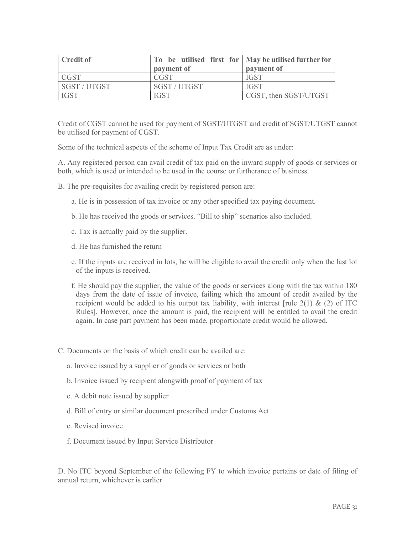| <b>Credit of</b> | To be utilised first for $\vert$ May be utilised further for<br>payment of | payment of            |
|------------------|----------------------------------------------------------------------------|-----------------------|
| ' CGST           | <b>CGST</b>                                                                | <b>IGST</b>           |
| SGST / UTGST     | SGST / UTGST                                                               | <b>IGST</b>           |
| <b>IGST</b>      | <b>IGST</b>                                                                | CGST, then SGST/UTGST |

Credit of CGST cannot be used for payment of SGST/UTGST and credit of SGST/UTGST cannot be utilised for payment of CGST.

Some of the technical aspects of the scheme of Input Tax Credit are as under:

A. Any registered person can avail credit of tax paid on the inward supply of goods or services or both, which is used or intended to be used in the course or furtherance of business.

- B. The pre-requisites for availing credit by registered person are:
	- a. He is in possession of tax invoice or any other specified tax paying document.
	- b. He has received the goods or services. "Bill to ship" scenarios also included.
	- c. Tax is actually paid by the supplier.
	- d. He has furnished the return
	- e. If the inputs are received in lots, he will be eligible to avail the credit only when the last lot of the inputs is received.
	- f. He should pay the supplier, the value of the goods or services along with the tax within 180 days from the date of issue of invoice, failing which the amount of credit availed by the recipient would be added to his output tax liability, with interest [rule  $2(1)$  &  $(2)$  of ITC Rules]. However, once the amount is paid, the recipient will be entitled to avail the credit again. In case part payment has been made, proportionate credit would be allowed.
- C. Documents on the basis of which credit can be availed are:
	- a. Invoice issued by a supplier of goods or services or both
	- b. Invoice issued by recipient alongwith proof of payment of tax
	- c. A debit note issued by supplier
	- d. Bill of entry or similar document prescribed under Customs Act
	- e. Revised invoice
	- f. Document issued by Input Service Distributor

D. No ITC beyond September of the following FY to which invoice pertains or date of filing of annual return, whichever is earlier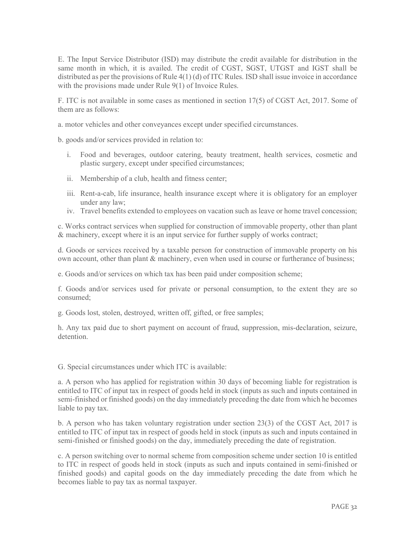E. The Input Service Distributor (ISD) may distribute the credit available for distribution in the same month in which, it is availed. The credit of CGST, SGST, UTGST and IGST shall be distributed as per the provisions of Rule 4(1) (d) of ITC Rules. ISD shall issue invoice in accordance with the provisions made under Rule 9(1) of Invoice Rules.

F. ITC is not available in some cases as mentioned in section 17(5) of CGST Act, 2017. Some of them are as follows:

a. motor vehicles and other conveyances except under specified circumstances.

b. goods and/or services provided in relation to:

- i. Food and beverages, outdoor catering, beauty treatment, health services, cosmetic and plastic surgery, except under specified circumstances;
- ii. Membership of a club, health and fitness center;
- iii. Rent-a-cab, life insurance, health insurance except where it is obligatory for an employer under any law;
- iv. Travel benefits extended to employees on vacation such as leave or home travel concession;

c. Works contract services when supplied for construction of immovable property, other than plant & machinery, except where it is an input service for further supply of works contract;

d. Goods or services received by a taxable person for construction of immovable property on his own account, other than plant & machinery, even when used in course or furtherance of business;

e. Goods and/or services on which tax has been paid under composition scheme;

f. Goods and/or services used for private or personal consumption, to the extent they are so consumed;

g. Goods lost, stolen, destroyed, written off, gifted, or free samples;

h. Any tax paid due to short payment on account of fraud, suppression, mis-declaration, seizure, detention.

G. Special circumstances under which ITC is available:

a. A person who has applied for registration within 30 days of becoming liable for registration is entitled to ITC of input tax in respect of goods held in stock (inputs as such and inputs contained in semi-finished or finished goods) on the day immediately preceding the date from which he becomes liable to pay tax.

b. A person who has taken voluntary registration under section 23(3) of the CGST Act, 2017 is entitled to ITC of input tax in respect of goods held in stock (inputs as such and inputs contained in semi-finished or finished goods) on the day, immediately preceding the date of registration.

c. A person switching over to normal scheme from composition scheme under section 10 is entitled to ITC in respect of goods held in stock (inputs as such and inputs contained in semi-finished or finished goods) and capital goods on the day immediately preceding the date from which he becomes liable to pay tax as normal taxpayer.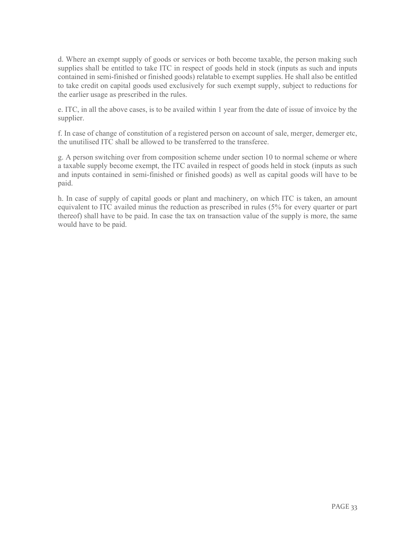d. Where an exempt supply of goods or services or both become taxable, the person making such supplies shall be entitled to take ITC in respect of goods held in stock (inputs as such and inputs contained in semi-finished or finished goods) relatable to exempt supplies. He shall also be entitled to take credit on capital goods used exclusively for such exempt supply, subject to reductions for the earlier usage as prescribed in the rules.

e. ITC, in all the above cases, is to be availed within 1 year from the date of issue of invoice by the supplier.

f. In case of change of constitution of a registered person on account of sale, merger, demerger etc, the unutilised ITC shall be allowed to be transferred to the transferee.

g. A person switching over from composition scheme under section 10 to normal scheme or where a taxable supply become exempt, the ITC availed in respect of goods held in stock (inputs as such and inputs contained in semi-finished or finished goods) as well as capital goods will have to be paid.

h. In case of supply of capital goods or plant and machinery, on which ITC is taken, an amount equivalent to ITC availed minus the reduction as prescribed in rules (5% for every quarter or part thereof) shall have to be paid. In case the tax on transaction value of the supply is more, the same would have to be paid.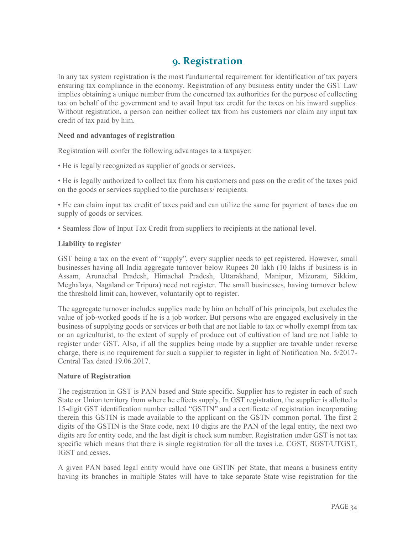### 9. Registration

In any tax system registration is the most fundamental requirement for identification of tax payers ensuring tax compliance in the economy. Registration of any business entity under the GST Law implies obtaining a unique number from the concerned tax authorities for the purpose of collecting tax on behalf of the government and to avail Input tax credit for the taxes on his inward supplies. Without registration, a person can neither collect tax from his customers nor claim any input tax credit of tax paid by him.

#### Need and advantages of registration

Registration will confer the following advantages to a taxpayer:

• He is legally recognized as supplier of goods or services.

• He is legally authorized to collect tax from his customers and pass on the credit of the taxes paid on the goods or services supplied to the purchasers/ recipients.

• He can claim input tax credit of taxes paid and can utilize the same for payment of taxes due on supply of goods or services.

• Seamless flow of Input Tax Credit from suppliers to recipients at the national level.

#### Liability to register

GST being a tax on the event of "supply", every supplier needs to get registered. However, small businesses having all India aggregate turnover below Rupees 20 lakh (10 lakhs if business is in Assam, Arunachal Pradesh, Himachal Pradesh, Uttarakhand, Manipur, Mizoram, Sikkim, Meghalaya, Nagaland or Tripura) need not register. The small businesses, having turnover below the threshold limit can, however, voluntarily opt to register.

The aggregate turnover includes supplies made by him on behalf of his principals, but excludes the value of job-worked goods if he is a job worker. But persons who are engaged exclusively in the business of supplying goods or services or both that are not liable to tax or wholly exempt from tax or an agriculturist, to the extent of supply of produce out of cultivation of land are not liable to register under GST. Also, if all the supplies being made by a supplier are taxable under reverse charge, there is no requirement for such a supplier to register in light of Notification No. 5/2017- Central Tax dated 19.06.2017.

#### Nature of Registration

The registration in GST is PAN based and State specific. Supplier has to register in each of such State or Union territory from where he effects supply. In GST registration, the supplier is allotted a 15-digit GST identification number called "GSTIN" and a certificate of registration incorporating therein this GSTIN is made available to the applicant on the GSTN common portal. The first 2 digits of the GSTIN is the State code, next 10 digits are the PAN of the legal entity, the next two digits are for entity code, and the last digit is check sum number. Registration under GST is not tax specific which means that there is single registration for all the taxes i.e. CGST, SGST/UTGST, IGST and cesses.

A given PAN based legal entity would have one GSTIN per State, that means a business entity having its branches in multiple States will have to take separate State wise registration for the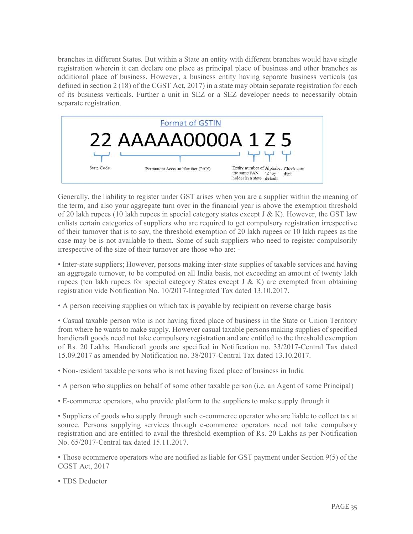branches in different States. But within a State an entity with different branches would have single registration wherein it can declare one place as principal place of business and other branches as additional place of business. However, a business entity having separate business verticals (as defined in section 2 (18) of the CGST Act, 2017) in a state may obtain separate registration for each of its business verticals. Further a unit in SEZ or a SEZ developer needs to necessarily obtain separate registration.



Generally, the liability to register under GST arises when you are a supplier within the meaning of the term, and also your aggregate turn over in the financial year is above the exemption threshold of 20 lakh rupees (10 lakh rupees in special category states except  $J & K$ ). However, the GST law enlists certain categories of suppliers who are required to get compulsory registration irrespective of their turnover that is to say, the threshold exemption of 20 lakh rupees or 10 lakh rupees as the case may be is not available to them. Some of such suppliers who need to register compulsorily irrespective of the size of their turnover are those who are: -

• Inter-state suppliers; However, persons making inter-state supplies of taxable services and having an aggregate turnover, to be computed on all India basis, not exceeding an amount of twenty lakh rupees (ten lakh rupees for special category States except J & K) are exempted from obtaining registration vide Notification No. 10/2017-Integrated Tax dated 13.10.2017.

• A person receiving supplies on which tax is payable by recipient on reverse charge basis

• Casual taxable person who is not having fixed place of business in the State or Union Territory from where he wants to make supply. However casual taxable persons making supplies of specified handicraft goods need not take compulsory registration and are entitled to the threshold exemption of Rs. 20 Lakhs. Handicraft goods are specified in Notification no. 33/2017-Central Tax dated 15.09.2017 as amended by Notification no. 38/2017-Central Tax dated 13.10.2017.

• Non-resident taxable persons who is not having fixed place of business in India

- A person who supplies on behalf of some other taxable person (i.e. an Agent of some Principal)
- E-commerce operators, who provide platform to the suppliers to make supply through it

• Suppliers of goods who supply through such e-commerce operator who are liable to collect tax at source. Persons supplying services through e-commerce operators need not take compulsory registration and are entitled to avail the threshold exemption of Rs. 20 Lakhs as per Notification No. 65/2017-Central tax dated 15.11.2017.

• Those ecommerce operators who are notified as liable for GST payment under Section 9(5) of the CGST Act, 2017

• TDS Deductor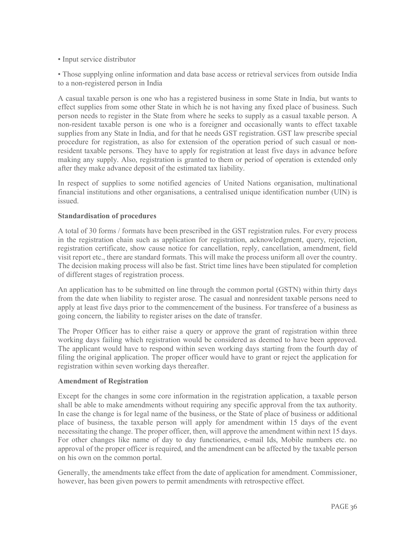• Input service distributor

• Those supplying online information and data base access or retrieval services from outside India to a non-registered person in India

A casual taxable person is one who has a registered business in some State in India, but wants to effect supplies from some other State in which he is not having any fixed place of business. Such person needs to register in the State from where he seeks to supply as a casual taxable person. A non-resident taxable person is one who is a foreigner and occasionally wants to effect taxable supplies from any State in India, and for that he needs GST registration. GST law prescribe special procedure for registration, as also for extension of the operation period of such casual or nonresident taxable persons. They have to apply for registration at least five days in advance before making any supply. Also, registration is granted to them or period of operation is extended only after they make advance deposit of the estimated tax liability.

In respect of supplies to some notified agencies of United Nations organisation, multinational financial institutions and other organisations, a centralised unique identification number (UIN) is issued.

#### Standardisation of procedures

A total of 30 forms / formats have been prescribed in the GST registration rules. For every process in the registration chain such as application for registration, acknowledgment, query, rejection, registration certificate, show cause notice for cancellation, reply, cancellation, amendment, field visit report etc., there are standard formats. This will make the process uniform all over the country. The decision making process will also be fast. Strict time lines have been stipulated for completion of different stages of registration process.

An application has to be submitted on line through the common portal (GSTN) within thirty days from the date when liability to register arose. The casual and nonresident taxable persons need to apply at least five days prior to the commencement of the business. For transferee of a business as going concern, the liability to register arises on the date of transfer.

The Proper Officer has to either raise a query or approve the grant of registration within three working days failing which registration would be considered as deemed to have been approved. The applicant would have to respond within seven working days starting from the fourth day of filing the original application. The proper officer would have to grant or reject the application for registration within seven working days thereafter.

#### Amendment of Registration

Except for the changes in some core information in the registration application, a taxable person shall be able to make amendments without requiring any specific approval from the tax authority. In case the change is for legal name of the business, or the State of place of business or additional place of business, the taxable person will apply for amendment within 15 days of the event necessitating the change. The proper officer, then, will approve the amendment within next 15 days. For other changes like name of day to day functionaries, e-mail Ids, Mobile numbers etc. no approval of the proper officer is required, and the amendment can be affected by the taxable person on his own on the common portal.

Generally, the amendments take effect from the date of application for amendment. Commissioner, however, has been given powers to permit amendments with retrospective effect.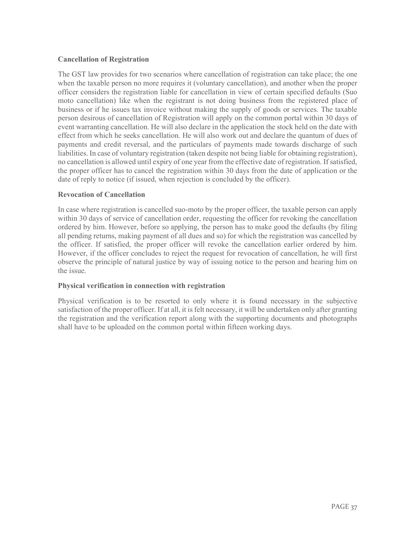#### Cancellation of Registration

The GST law provides for two scenarios where cancellation of registration can take place; the one when the taxable person no more requires it (voluntary cancellation), and another when the proper officer considers the registration liable for cancellation in view of certain specified defaults (Suo moto cancellation) like when the registrant is not doing business from the registered place of business or if he issues tax invoice without making the supply of goods or services. The taxable person desirous of cancellation of Registration will apply on the common portal within 30 days of event warranting cancellation. He will also declare in the application the stock held on the date with effect from which he seeks cancellation. He will also work out and declare the quantum of dues of payments and credit reversal, and the particulars of payments made towards discharge of such liabilities. In case of voluntary registration (taken despite not being liable for obtaining registration), no cancellation is allowed until expiry of one year from the effective date of registration. If satisfied, the proper officer has to cancel the registration within 30 days from the date of application or the date of reply to notice (if issued, when rejection is concluded by the officer).

#### Revocation of Cancellation

In case where registration is cancelled suo-moto by the proper officer, the taxable person can apply within 30 days of service of cancellation order, requesting the officer for revoking the cancellation ordered by him. However, before so applying, the person has to make good the defaults (by filing all pending returns, making payment of all dues and so) for which the registration was cancelled by the officer. If satisfied, the proper officer will revoke the cancellation earlier ordered by him. However, if the officer concludes to reject the request for revocation of cancellation, he will first observe the principle of natural justice by way of issuing notice to the person and hearing him on the issue.

#### Physical verification in connection with registration

Physical verification is to be resorted to only where it is found necessary in the subjective satisfaction of the proper officer. If at all, it is felt necessary, it will be undertaken only after granting the registration and the verification report along with the supporting documents and photographs shall have to be uploaded on the common portal within fifteen working days.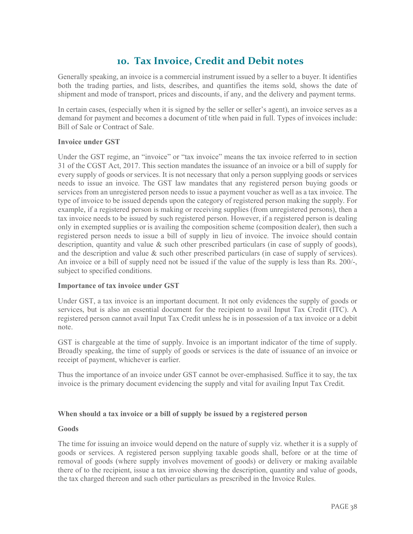### 10. Tax Invoice, Credit and Debit notes

Generally speaking, an invoice is a commercial instrument issued by a seller to a buyer. It identifies both the trading parties, and lists, describes, and quantifies the items sold, shows the date of shipment and mode of transport, prices and discounts, if any, and the delivery and payment terms.

In certain cases, (especially when it is signed by the seller or seller's agent), an invoice serves as a demand for payment and becomes a document of title when paid in full. Types of invoices include: Bill of Sale or Contract of Sale.

#### Invoice under GST

Under the GST regime, an "invoice" or "tax invoice" means the tax invoice referred to in section 31 of the CGST Act, 2017. This section mandates the issuance of an invoice or a bill of supply for every supply of goods or services. It is not necessary that only a person supplying goods or services needs to issue an invoice. The GST law mandates that any registered person buying goods or services from an unregistered person needs to issue a payment voucher as well as a tax invoice. The type of invoice to be issued depends upon the category of registered person making the supply. For example, if a registered person is making or receiving supplies (from unregistered persons), then a tax invoice needs to be issued by such registered person. However, if a registered person is dealing only in exempted supplies or is availing the composition scheme (composition dealer), then such a registered person needs to issue a bill of supply in lieu of invoice. The invoice should contain description, quantity and value & such other prescribed particulars (in case of supply of goods), and the description and value & such other prescribed particulars (in case of supply of services). An invoice or a bill of supply need not be issued if the value of the supply is less than Rs. 200/-, subject to specified conditions.

#### Importance of tax invoice under GST

Under GST, a tax invoice is an important document. It not only evidences the supply of goods or services, but is also an essential document for the recipient to avail Input Tax Credit (ITC). A registered person cannot avail Input Tax Credit unless he is in possession of a tax invoice or a debit note.

GST is chargeable at the time of supply. Invoice is an important indicator of the time of supply. Broadly speaking, the time of supply of goods or services is the date of issuance of an invoice or receipt of payment, whichever is earlier.

Thus the importance of an invoice under GST cannot be over-emphasised. Suffice it to say, the tax invoice is the primary document evidencing the supply and vital for availing Input Tax Credit.

#### When should a tax invoice or a bill of supply be issued by a registered person

#### Goods

The time for issuing an invoice would depend on the nature of supply viz. whether it is a supply of goods or services. A registered person supplying taxable goods shall, before or at the time of removal of goods (where supply involves movement of goods) or delivery or making available there of to the recipient, issue a tax invoice showing the description, quantity and value of goods, the tax charged thereon and such other particulars as prescribed in the Invoice Rules.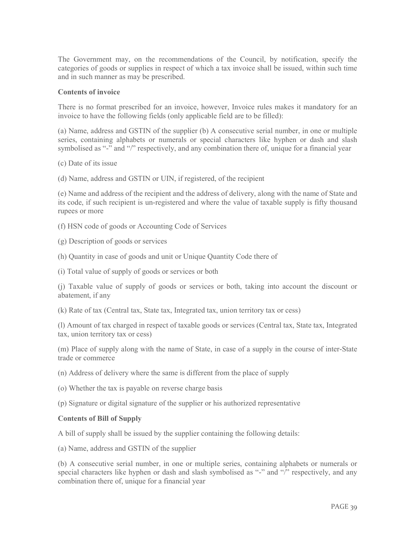The Government may, on the recommendations of the Council, by notification, specify the categories of goods or supplies in respect of which a tax invoice shall be issued, within such time and in such manner as may be prescribed.

#### Contents of invoice

There is no format prescribed for an invoice, however, Invoice rules makes it mandatory for an invoice to have the following fields (only applicable field are to be filled):

(a) Name, address and GSTIN of the supplier (b) A consecutive serial number, in one or multiple series, containing alphabets or numerals or special characters like hyphen or dash and slash symbolised as "-" and "/" respectively, and any combination there of, unique for a financial year

(c) Date of its issue

(d) Name, address and GSTIN or UIN, if registered, of the recipient

(e) Name and address of the recipient and the address of delivery, along with the name of State and its code, if such recipient is un-registered and where the value of taxable supply is fifty thousand rupees or more

- (f) HSN code of goods or Accounting Code of Services
- (g) Description of goods or services
- (h) Quantity in case of goods and unit or Unique Quantity Code there of
- (i) Total value of supply of goods or services or both

(j) Taxable value of supply of goods or services or both, taking into account the discount or abatement, if any

(k) Rate of tax (Central tax, State tax, Integrated tax, union territory tax or cess)

(l) Amount of tax charged in respect of taxable goods or services (Central tax, State tax, Integrated tax, union territory tax or cess)

(m) Place of supply along with the name of State, in case of a supply in the course of inter-State trade or commerce

- (n) Address of delivery where the same is different from the place of supply
- (o) Whether the tax is payable on reverse charge basis
- (p) Signature or digital signature of the supplier or his authorized representative

#### Contents of Bill of Supply

A bill of supply shall be issued by the supplier containing the following details:

(a) Name, address and GSTIN of the supplier

(b) A consecutive serial number, in one or multiple series, containing alphabets or numerals or special characters like hyphen or dash and slash symbolised as "-" and "/" respectively, and any combination there of, unique for a financial year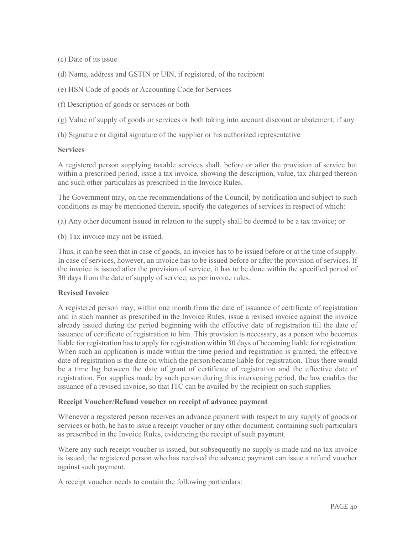(c) Date of its issue

- (d) Name, address and GSTIN or UIN, if registered, of the recipient
- (e) HSN Code of goods or Accounting Code for Services
- (f) Description of goods or services or both
- (g) Value of supply of goods or services or both taking into account discount or abatement, if any
- (h) Signature or digital signature of the supplier or his authorized representative

#### **Services**

A registered person supplying taxable services shall, before or after the provision of service but within a prescribed period, issue a tax invoice, showing the description, value, tax charged thereon and such other particulars as prescribed in the Invoice Rules.

The Government may, on the recommendations of the Council, by notification and subject to such conditions as may be mentioned therein, specify the categories of services in respect of which:

(a) Any other document issued in relation to the supply shall be deemed to be a tax invoice; or

(b) Tax invoice may not be issued.

Thus, it can be seen that in case of goods, an invoice has to be issued before or at the time of supply. In case of services, however, an invoice has to be issued before or after the provision of services. If the invoice is issued after the provision of service, it has to be done within the specified period of 30 days from the date of supply of service, as per invoice rules.

#### Revised Invoice

A registered person may, within one month from the date of issuance of certificate of registration and in such manner as prescribed in the Invoice Rules, issue a revised invoice against the invoice already issued during the period beginning with the effective date of registration till the date of issuance of certificate of registration to him. This provision is necessary, as a person who becomes liable for registration has to apply for registration within 30 days of becoming liable for registration. When such an application is made within the time period and registration is granted, the effective date of registration is the date on which the person became liable for registration. Thus there would be a time lag between the date of grant of certificate of registration and the effective date of registration. For supplies made by such person during this intervening period, the law enables the issuance of a revised invoice, so that ITC can be availed by the recipient on such supplies.

#### Receipt Voucher/Refund voucher on receipt of advance payment

Whenever a registered person receives an advance payment with respect to any supply of goods or services or both, he has to issue a receipt voucher or any other document, containing such particulars as prescribed in the Invoice Rules, evidencing the receipt of such payment.

Where any such receipt voucher is issued, but subsequently no supply is made and no tax invoice is issued, the registered person who has received the advance payment can issue a refund voucher against such payment.

A receipt voucher needs to contain the following particulars: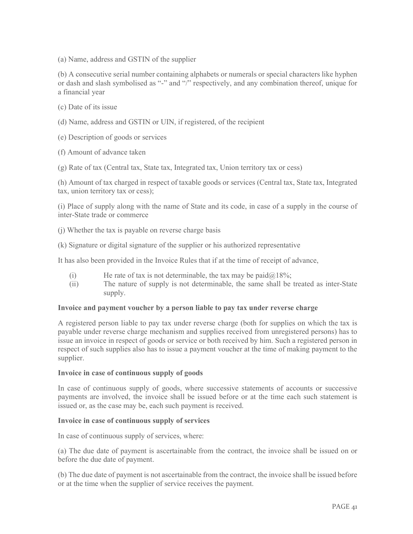(a) Name, address and GSTIN of the supplier

(b) A consecutive serial number containing alphabets or numerals or special characters like hyphen or dash and slash symbolised as "-" and "/" respectively, and any combination thereof, unique for a financial year

- (c) Date of its issue
- (d) Name, address and GSTIN or UIN, if registered, of the recipient
- (e) Description of goods or services
- (f) Amount of advance taken
- (g) Rate of tax (Central tax, State tax, Integrated tax, Union territory tax or cess)

(h) Amount of tax charged in respect of taxable goods or services (Central tax, State tax, Integrated tax, union territory tax or cess);

(i) Place of supply along with the name of State and its code, in case of a supply in the course of inter-State trade or commerce

(j) Whether the tax is payable on reverse charge basis

(k) Signature or digital signature of the supplier or his authorized representative

It has also been provided in the Invoice Rules that if at the time of receipt of advance,

- (i) He rate of tax is not determinable, the tax may be paid $\omega$ 18%;
- (ii) The nature of supply is not determinable, the same shall be treated as inter-State supply.

#### Invoice and payment voucher by a person liable to pay tax under reverse charge

A registered person liable to pay tax under reverse charge (both for supplies on which the tax is payable under reverse charge mechanism and supplies received from unregistered persons) has to issue an invoice in respect of goods or service or both received by him. Such a registered person in respect of such supplies also has to issue a payment voucher at the time of making payment to the supplier.

#### Invoice in case of continuous supply of goods

In case of continuous supply of goods, where successive statements of accounts or successive payments are involved, the invoice shall be issued before or at the time each such statement is issued or, as the case may be, each such payment is received.

#### Invoice in case of continuous supply of services

In case of continuous supply of services, where:

(a) The due date of payment is ascertainable from the contract, the invoice shall be issued on or before the due date of payment.

(b) The due date of payment is not ascertainable from the contract, the invoice shall be issued before or at the time when the supplier of service receives the payment.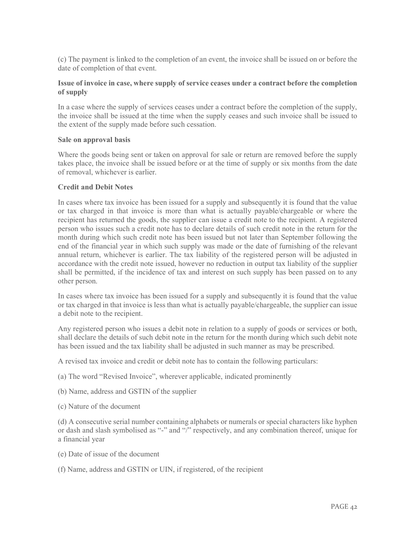(c) The payment is linked to the completion of an event, the invoice shall be issued on or before the date of completion of that event.

#### Issue of invoice in case, where supply of service ceases under a contract before the completion of supply

In a case where the supply of services ceases under a contract before the completion of the supply, the invoice shall be issued at the time when the supply ceases and such invoice shall be issued to the extent of the supply made before such cessation.

#### Sale on approval basis

Where the goods being sent or taken on approval for sale or return are removed before the supply takes place, the invoice shall be issued before or at the time of supply or six months from the date of removal, whichever is earlier.

#### Credit and Debit Notes

In cases where tax invoice has been issued for a supply and subsequently it is found that the value or tax charged in that invoice is more than what is actually payable/chargeable or where the recipient has returned the goods, the supplier can issue a credit note to the recipient. A registered person who issues such a credit note has to declare details of such credit note in the return for the month during which such credit note has been issued but not later than September following the end of the financial year in which such supply was made or the date of furnishing of the relevant annual return, whichever is earlier. The tax liability of the registered person will be adjusted in accordance with the credit note issued, however no reduction in output tax liability of the supplier shall be permitted, if the incidence of tax and interest on such supply has been passed on to any other person.

In cases where tax invoice has been issued for a supply and subsequently it is found that the value or tax charged in that invoice is less than what is actually payable/chargeable, the supplier can issue a debit note to the recipient.

Any registered person who issues a debit note in relation to a supply of goods or services or both, shall declare the details of such debit note in the return for the month during which such debit note has been issued and the tax liability shall be adjusted in such manner as may be prescribed.

A revised tax invoice and credit or debit note has to contain the following particulars:

- (a) The word "Revised Invoice", wherever applicable, indicated prominently
- (b) Name, address and GSTIN of the supplier
- (c) Nature of the document

(d) A consecutive serial number containing alphabets or numerals or special characters like hyphen or dash and slash symbolised as "-" and "/" respectively, and any combination thereof, unique for a financial year

- (e) Date of issue of the document
- (f) Name, address and GSTIN or UIN, if registered, of the recipient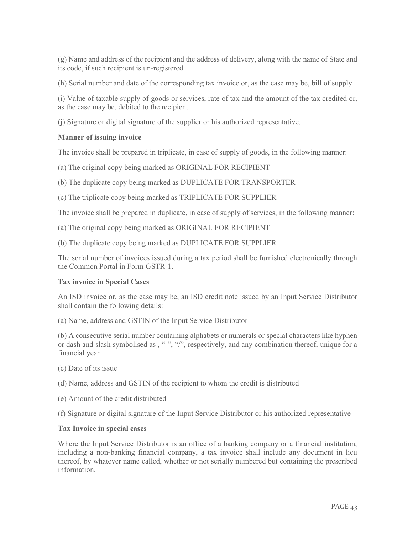(g) Name and address of the recipient and the address of delivery, along with the name of State and its code, if such recipient is un-registered

(h) Serial number and date of the corresponding tax invoice or, as the case may be, bill of supply

(i) Value of taxable supply of goods or services, rate of tax and the amount of the tax credited or, as the case may be, debited to the recipient.

(j) Signature or digital signature of the supplier or his authorized representative.

#### Manner of issuing invoice

The invoice shall be prepared in triplicate, in case of supply of goods, in the following manner:

(a) The original copy being marked as ORIGINAL FOR RECIPIENT

(b) The duplicate copy being marked as DUPLICATE FOR TRANSPORTER

(c) The triplicate copy being marked as TRIPLICATE FOR SUPPLIER

The invoice shall be prepared in duplicate, in case of supply of services, in the following manner:

(a) The original copy being marked as ORIGINAL FOR RECIPIENT

(b) The duplicate copy being marked as DUPLICATE FOR SUPPLIER

The serial number of invoices issued during a tax period shall be furnished electronically through the Common Portal in Form GSTR-1.

#### Tax invoice in Special Cases

An ISD invoice or, as the case may be, an ISD credit note issued by an Input Service Distributor shall contain the following details:

(a) Name, address and GSTIN of the Input Service Distributor

(b) A consecutive serial number containing alphabets or numerals or special characters like hyphen or dash and slash symbolised as , "-", "/", respectively, and any combination thereof, unique for a financial year

(c) Date of its issue

(d) Name, address and GSTIN of the recipient to whom the credit is distributed

(e) Amount of the credit distributed

(f) Signature or digital signature of the Input Service Distributor or his authorized representative

#### Tax Invoice in special cases

Where the Input Service Distributor is an office of a banking company or a financial institution, including a non-banking financial company, a tax invoice shall include any document in lieu thereof, by whatever name called, whether or not serially numbered but containing the prescribed information.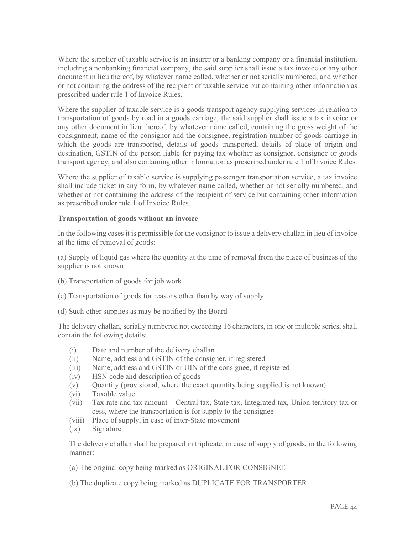Where the supplier of taxable service is an insurer or a banking company or a financial institution, including a nonbanking financial company, the said supplier shall issue a tax invoice or any other document in lieu thereof, by whatever name called, whether or not serially numbered, and whether or not containing the address of the recipient of taxable service but containing other information as prescribed under rule 1 of Invoice Rules.

Where the supplier of taxable service is a goods transport agency supplying services in relation to transportation of goods by road in a goods carriage, the said supplier shall issue a tax invoice or any other document in lieu thereof, by whatever name called, containing the gross weight of the consignment, name of the consignor and the consignee, registration number of goods carriage in which the goods are transported, details of goods transported, details of place of origin and destination, GSTIN of the person liable for paying tax whether as consignor, consignee or goods transport agency, and also containing other information as prescribed under rule 1 of Invoice Rules.

Where the supplier of taxable service is supplying passenger transportation service, a tax invoice shall include ticket in any form, by whatever name called, whether or not serially numbered, and whether or not containing the address of the recipient of service but containing other information as prescribed under rule 1 of Invoice Rules.

#### Transportation of goods without an invoice

In the following cases it is permissible for the consignor to issue a delivery challan in lieu of invoice at the time of removal of goods:

(a) Supply of liquid gas where the quantity at the time of removal from the place of business of the supplier is not known

- (b) Transportation of goods for job work
- (c) Transportation of goods for reasons other than by way of supply
- (d) Such other supplies as may be notified by the Board

The delivery challan, serially numbered not exceeding 16 characters, in one or multiple series, shall contain the following details:

- (i) Date and number of the delivery challan
- (ii) Name, address and GSTIN of the consigner, if registered
- (iii) Name, address and GSTIN or UIN of the consignee, if registered
- (iv) HSN code and description of goods
- (v) Quantity (provisional, where the exact quantity being supplied is not known)
- (vi) Taxable value
- (vii) Tax rate and tax amount Central tax, State tax, Integrated tax, Union territory tax or cess, where the transportation is for supply to the consignee
- (viii) Place of supply, in case of inter-State movement
- (ix) Signature

The delivery challan shall be prepared in triplicate, in case of supply of goods, in the following manner:

(a) The original copy being marked as ORIGINAL FOR CONSIGNEE

(b) The duplicate copy being marked as DUPLICATE FOR TRANSPORTER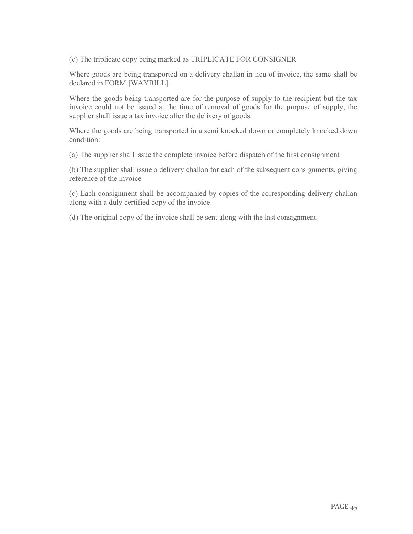(c) The triplicate copy being marked as TRIPLICATE FOR CONSIGNER

Where goods are being transported on a delivery challan in lieu of invoice, the same shall be declared in FORM [WAYBILL].

Where the goods being transported are for the purpose of supply to the recipient but the tax invoice could not be issued at the time of removal of goods for the purpose of supply, the supplier shall issue a tax invoice after the delivery of goods.

Where the goods are being transported in a semi knocked down or completely knocked down condition:

(a) The supplier shall issue the complete invoice before dispatch of the first consignment

(b) The supplier shall issue a delivery challan for each of the subsequent consignments, giving reference of the invoice

(c) Each consignment shall be accompanied by copies of the corresponding delivery challan along with a duly certified copy of the invoice

(d) The original copy of the invoice shall be sent along with the last consignment.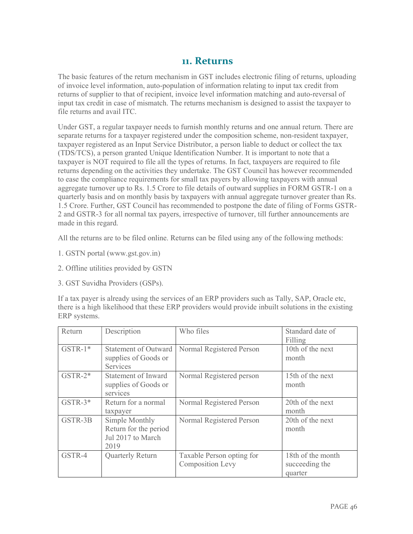### 11. Returns

The basic features of the return mechanism in GST includes electronic filing of returns, uploading of invoice level information, auto-population of information relating to input tax credit from returns of supplier to that of recipient, invoice level information matching and auto-reversal of input tax credit in case of mismatch. The returns mechanism is designed to assist the taxpayer to file returns and avail ITC.

Under GST, a regular taxpayer needs to furnish monthly returns and one annual return. There are separate returns for a taxpayer registered under the composition scheme, non-resident taxpayer, taxpayer registered as an Input Service Distributor, a person liable to deduct or collect the tax (TDS/TCS), a person granted Unique Identification Number. It is important to note that a taxpayer is NOT required to file all the types of returns. In fact, taxpayers are required to file returns depending on the activities they undertake. The GST Council has however recommended to ease the compliance requirements for small tax payers by allowing taxpayers with annual aggregate turnover up to Rs. 1.5 Crore to file details of outward supplies in FORM GSTR-1 on a quarterly basis and on monthly basis by taxpayers with annual aggregate turnover greater than Rs. 1.5 Crore. Further, GST Council has recommended to postpone the date of filing of Forms GSTR-2 and GSTR-3 for all normal tax payers, irrespective of turnover, till further announcements are made in this regard.

All the returns are to be filed online. Returns can be filed using any of the following methods:

- 1. GSTN portal (www.gst.gov.in)
- 2. Offline utilities provided by GSTN
- 3. GST Suvidha Providers (GSPs).

If a tax payer is already using the services of an ERP providers such as Tally, SAP, Oracle etc, there is a high likelihood that these ERP providers would provide inbuilt solutions in the existing ERP systems.

| Return    | Description                                                          | Who files                                            | Standard date of                               |
|-----------|----------------------------------------------------------------------|------------------------------------------------------|------------------------------------------------|
| $GSTR-1*$ | Statement of Outward<br>supplies of Goods or<br>Services             | Normal Registered Person                             | Filling<br>10th of the next<br>month           |
| $GSTR-2*$ | Statement of Inward<br>supplies of Goods or<br>services              | Normal Registered person                             | 15th of the next<br>month                      |
| $GSTR-3*$ | Return for a normal<br>taxpayer                                      | Normal Registered Person                             | 20th of the next<br>month                      |
| GSTR-3B   | Simple Monthly<br>Return for the period<br>Jul 2017 to March<br>2019 | Normal Registered Person                             | 20th of the next<br>month                      |
| GSTR-4    | <b>Quarterly Return</b>                                              | Taxable Person opting for<br><b>Composition Levy</b> | 18th of the month<br>succeeding the<br>quarter |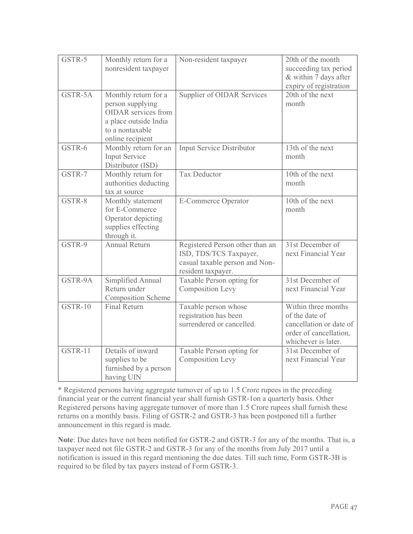| GSTR-5  | Monthly return for a<br>nonresident taxpayer                                                                                           | Non-resident taxpayer                                                                                             | 20th of the month<br>succeeding tax period<br>& within 7 days after<br>expiry of registration                     |
|---------|----------------------------------------------------------------------------------------------------------------------------------------|-------------------------------------------------------------------------------------------------------------------|-------------------------------------------------------------------------------------------------------------------|
| GSTR-5A | Monthly return for a<br>person supplying<br><b>OIDAR</b> services from<br>a place outside India<br>to a nontaxable<br>online recipient | Supplier of OIDAR Services                                                                                        | 20th of the next<br>month                                                                                         |
| GSTR-6  | Monthly return for an<br><b>Input Service</b><br>Distributor (ISD)                                                                     | Input Service Distributor                                                                                         | 13th of the next<br>month                                                                                         |
| GSTR-7  | Monthly return for<br>authorities deducting<br>tax at source                                                                           | <b>Tax Deductor</b>                                                                                               | 10th of the next<br>month                                                                                         |
| GSTR-8  | Monthly statement<br>for E-Commerce<br>Operator depicting<br>supplies effecting<br>through it.                                         | <b>E-Commerce Operator</b>                                                                                        | 10th of the next<br>month                                                                                         |
| GSTR-9  | <b>Annual Return</b>                                                                                                                   | Registered Person other than an<br>ISD, TDS/TCS Taxpayer,<br>casual taxable person and Non-<br>resident taxpayer. | 31st December of<br>next Financial Year                                                                           |
| GSTR-9A | Simplified Annual<br>Return under<br><b>Composition Scheme</b>                                                                         | Taxable Person opting for<br><b>Composition Levy</b>                                                              | 31st December of<br>next Financial Year                                                                           |
| GSTR-10 | <b>Final Return</b>                                                                                                                    | Taxable person whose<br>registration has been<br>surrendered or cancelled.                                        | Within three months<br>of the date of<br>cancellation or date of<br>order of cancellation,<br>whichever is later. |
| GSTR-11 | Details of inward<br>supplies to be<br>furnished by a person<br>having UIN                                                             | Taxable Person opting for<br><b>Composition Levy</b>                                                              | 31st December of<br>next Financial Year                                                                           |

\* Registered persons having aggregate turnover of up to 1.5 Crore rupees in the preceding financial year or the current financial year shall furnish GSTR-1on a quarterly basis. Other Registered persons having aggregate turnover of more than 1.5 Crore rupees shall furnish these returns on a monthly basis. Filing of GSTR-2 and GSTR-3 has been postponed till a further announcement in this regard is made.

Note: Due dates have not been notified for GSTR-2 and GSTR-3 for any of the months. That is, a taxpayer need not file GSTR-2 and GSTR-3 for any of the months from July 2017 until a notification is issued in this regard mentioning the due dates. Till such time, Form GSTR-3B is required to be filed by tax payers instead of Form GSTR-3.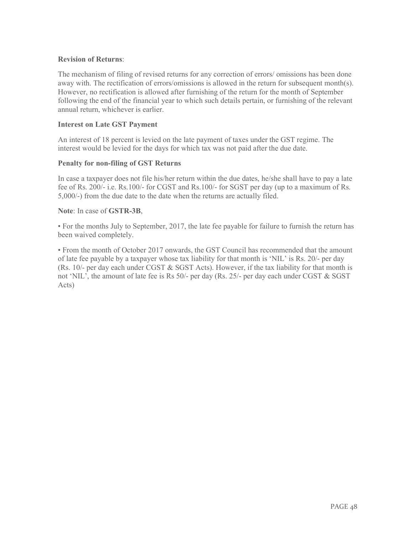#### Revision of Returns:

The mechanism of filing of revised returns for any correction of errors/ omissions has been done away with. The rectification of errors/omissions is allowed in the return for subsequent month(s). However, no rectification is allowed after furnishing of the return for the month of September following the end of the financial year to which such details pertain, or furnishing of the relevant annual return, whichever is earlier.

#### Interest on Late GST Payment

An interest of 18 percent is levied on the late payment of taxes under the GST regime. The interest would be levied for the days for which tax was not paid after the due date.

#### Penalty for non-filing of GST Returns

In case a taxpayer does not file his/her return within the due dates, he/she shall have to pay a late fee of Rs. 200/- i.e. Rs.100/- for CGST and Rs.100/- for SGST per day (up to a maximum of Rs. 5,000/-) from the due date to the date when the returns are actually filed.

#### Note: In case of GSTR-3B,

• For the months July to September, 2017, the late fee payable for failure to furnish the return has been waived completely.

• From the month of October 2017 onwards, the GST Council has recommended that the amount of late fee payable by a taxpayer whose tax liability for that month is 'NIL' is Rs. 20/- per day (Rs. 10/- per day each under CGST  $\&$  SGST Acts). However, if the tax liability for that month is not 'NIL', the amount of late fee is Rs 50/- per day (Rs. 25/- per day each under CGST & SGST Acts)